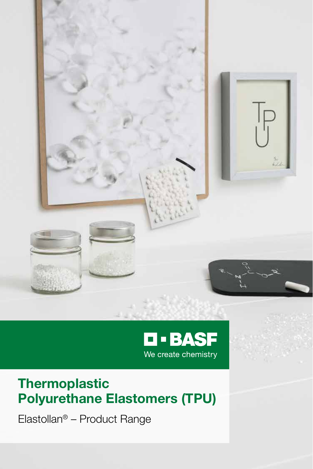



#### **Thermoplastic** Polyurethane Elastomers (TPU)

Elastollan® – Product Range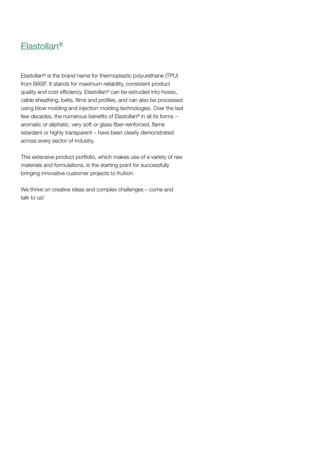

Elastollan® is the brand name for thermoplastic polyurethane (TPU) from BASF. It stands for maximum reliability, consistent product quality and cost efficiency. Elastollan® can be extruded into hoses, cable sheathing, belts, films and profiles, and can also be processed using blow molding and injection molding technologies. Over the last few decades, the numerous benefits of Elastollan® in all its forms – aromatic or aliphatic, very soft or glass fiber-reinforced, flame retardant or highly transparent – have been clearly demonstrated across every sector of industry.

This extensive product portfolio, which makes use of a variety of raw materials and formulations, is the starting point for successfully bringing innovative customer projects to fruition.

We thrive on creative ideas and complex challenges – come and talk to us!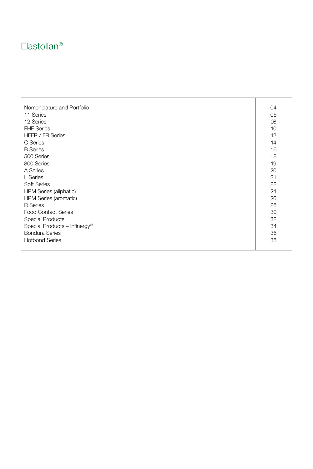#### Elastollan ®

| Nomenclature and Portfolio                | 04 |
|-------------------------------------------|----|
| 11 Series                                 | 06 |
| 12 Series                                 | 08 |
| <b>FHF Series</b>                         | 10 |
| <b>HFFR / FR Series</b>                   | 12 |
| C Series                                  | 14 |
| <b>B</b> Series                           | 16 |
| 500 Series                                | 18 |
| 800 Series                                | 19 |
| A Series                                  | 20 |
| L Series                                  | 21 |
| <b>Soft Series</b>                        | 22 |
| <b>HPM Series (aliphatic)</b>             | 24 |
| <b>HPM Series (aromatic)</b>              | 26 |
| <b>R</b> Series                           | 28 |
| <b>Food Contact Series</b>                | 30 |
| <b>Special Products</b>                   | 32 |
| Special Products - Infinergy <sup>®</sup> | 34 |
| <b>Bondura Series</b>                     | 36 |
| <b>Hotbond Series</b>                     | 38 |
|                                           |    |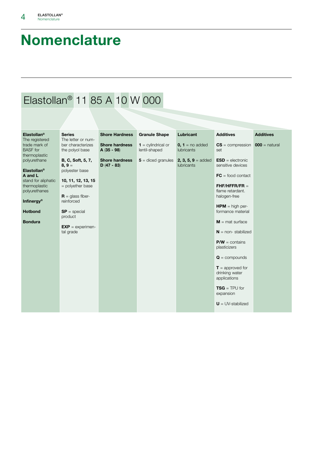# Nomenclature

#### Elastollan® 11 85 A 10 W 000

| Elastollan <sup>®</sup><br>The registered             | <b>Series</b><br>The letter or num-      | <b>Shore Hardness</b>                 | <b>Granule Shape</b>                  | Lubricant                                        | <b>Additives</b>                                     | <b>Additives</b> |
|-------------------------------------------------------|------------------------------------------|---------------------------------------|---------------------------------------|--------------------------------------------------|------------------------------------------------------|------------------|
| trade mark of<br><b>BASF</b> for<br>thermoplastic     | ber characterizes<br>the polyol base     | <b>Shore hardness</b><br>$A(35 - 98)$ | $1$ = cylindrical or<br>lentil-shaped | $0, 1 =$ no added<br><b>lubricants</b>           | $CS =$ compression $000 =$ natural<br>set            |                  |
| polyurethane                                          | B, C, Soft, 5, 7,<br>$8, 9 =$            | <b>Shore hardness</b><br>$D(47 - 83)$ | $5 =$ diced granules                  | 2, 3, 5, $9 = \text{added}$<br><b>lubricants</b> | $ESD =$ electronic<br>sensitive devices              |                  |
| Elastollan <sup>®</sup><br>A and L                    | polyester base                           |                                       |                                       |                                                  | $FC = food contact$                                  |                  |
| stand for aliphatic<br>thermoplastic<br>polyurethanes | 10, 11, 12, 13, 15<br>$=$ polyether base |                                       |                                       |                                                  | $FH$ F/HFFR/FR $=$<br>flame retardant.               |                  |
|                                                       | $R =$ glass fiber-                       |                                       |                                       |                                                  | halogen-free                                         |                  |
| Infinergy <sup>®</sup><br><b>Hotbond</b>              | reinforced<br>$SP = 1$                   |                                       |                                       |                                                  | $HPM = high per$<br>formance material                |                  |
|                                                       | product                                  |                                       |                                       |                                                  |                                                      |                  |
| <b>Bondura</b>                                        |                                          |                                       |                                       |                                                  | $M =$ mat surface                                    |                  |
|                                                       | $EXP =$ experimen-<br>tal grade          |                                       |                                       |                                                  | $N =$ non-stabilized                                 |                  |
|                                                       |                                          |                                       |                                       |                                                  | $P/W =$ contains<br>plasticizers                     |                  |
|                                                       |                                          |                                       |                                       |                                                  | $Q =$ compounds                                      |                  |
|                                                       |                                          |                                       |                                       |                                                  | $T$ = approved for<br>drinking water<br>applications |                  |
|                                                       |                                          |                                       |                                       |                                                  | $TSG = TPU$ for<br>expansion                         |                  |
|                                                       |                                          |                                       |                                       |                                                  | $U = UV$ -stabilized                                 |                  |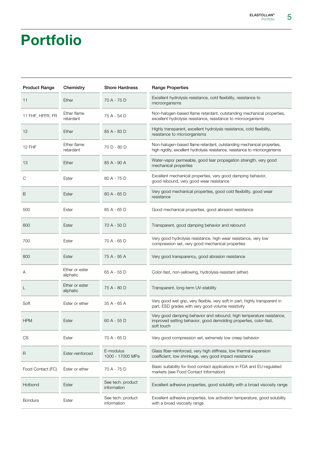# Portfolio

| <b>Product Range</b> | Chemistry                   | <b>Shore Hardness</b>            | <b>Range Properties</b>                                                                                                                                 |
|----------------------|-----------------------------|----------------------------------|---------------------------------------------------------------------------------------------------------------------------------------------------------|
| 11                   | Ether                       | 70 A - 75 D                      | Excellent hydrolysis resistance, cold flexibility, resistance to<br>microorganisms                                                                      |
| 11 FHF, HFFR, FR     | Ether flame<br>retardant    | 75 A - 54 D                      | Non-halogen-based flame retardant, outstanding mechanical properties,<br>excellent hydrolysis resistance, resistance to microorganisms                  |
| 12                   | Ether                       | 85 A - 83 D                      | Highly transparent, excellent hydrolysis resistance, cold flexibility,<br>resistance to microorganisms                                                  |
| 12 FHF               | Ether flame<br>retardant    | 70 D - 80 D                      | Non-halogen-based flame retardant, outstanding mechanical properties,<br>high rigidity, excellent hydrolysis resistance, resistance to microorganisms   |
| 13                   | Ether                       | 85 A - 90 A                      | Water-vapor permeable, good tear propagation strength, very good<br>mechanical properties                                                               |
| С                    | Ester                       | 80 A - 75 D                      | Excellent mechanical properties, very good damping behavior,<br>good rebound, very good wear resistance                                                 |
| B                    | Ester                       | 80 A - 65 D                      | Very good mechanical properties, good cold flexibility, good wear<br>resistance                                                                         |
| 500                  | Ester                       | 85 A - 65 D                      | Good mechanical properties, good abrasion resistance                                                                                                    |
| 600                  | Ester                       | 70 A - 50 D                      | Transparent, good damping behavior and rebound                                                                                                          |
| 700                  | Ester                       | 70 A - 65 D                      | Very good hydrolysis resistance, high wear resistance, very low<br>compression set, very good mechanical properties                                     |
| 800                  | Ester                       | 75 A - 95 A                      | Very good transparency, good abrasion resistance                                                                                                        |
| Α                    | Ether or ester<br>aliphatic | 65 A - 55 D                      | Color-fast, non-yellowing, hydrolysis-resistant (ether)                                                                                                 |
| L                    | Ether or ester<br>aliphatic | 75 A - 80 D                      | Transparent, long-term UV-stability                                                                                                                     |
| Soft                 | Ester or ether              | 35 A - 65 A                      | Very good wet grip, very flexible, very soft in part, highly transparent in<br>part, ESD grades with very good volume resistivity                       |
| <b>HPM</b>           | Ester                       | 60 A - 55 D                      | Very good damping behavior and rebound, high temperature resistance,<br>improved setting behavior, good demolding properties, color-fast,<br>soft touch |
| CS                   | Ester                       | 70 A - 65 D                      | Very good compression set, extremely low creep behavior                                                                                                 |
| R                    | Ester-reinforced            | E-modulus<br>1000 - 17000 MPa    | Glass fiber-reinforced, very high stiffness, low thermal expansion<br>coefficient, low shrinkage, very good impact resistance                           |
| Food Contact (FC)    | Ester or ether              | 70 A - 75 D                      | Basic suitability for food contact applications in FDA and EU-regulated<br>markets (see Food Contact Information)                                       |
| Hotbond              | Ester                       | See tech. product<br>information | Excellent adhesive properties, good solubility with a broad viscosity range                                                                             |
| Bondura              | Ester                       | See tech. product<br>information | Excellent adhesive properties, low activation temperature, good solubility<br>with a broad viscosity range                                              |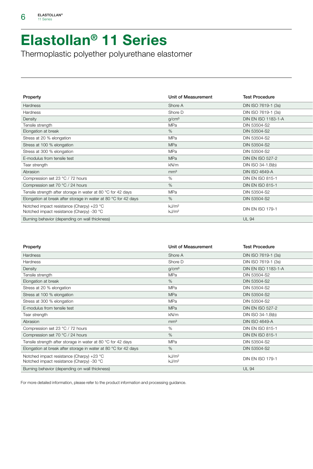## Elastollan® 11 Series

Thermoplastic polyether polyurethane elastomer

| Property                                                                               | Unit of Measurement                    | <b>Test Procedure</b>   |
|----------------------------------------------------------------------------------------|----------------------------------------|-------------------------|
| Hardness                                                                               | Shore A                                | DIN ISO 7619-1 (3s)     |
| Hardness                                                                               | Shore D                                | DIN ISO 7619-1 (3s)     |
| Density                                                                                | g/cm <sup>3</sup>                      | DIN EN ISO 1183-1-A     |
| Tensile strength                                                                       | MPa                                    | DIN 53504-S2            |
| Elongation at break                                                                    | %                                      | DIN 53504-S2            |
| Stress at 20 % elongation                                                              | MPa                                    | DIN 53504-S2            |
| Stress at 100 % elongation                                                             | MPa                                    | DIN 53504-S2            |
| Stress at 300 % elongation                                                             | MPa                                    | DIN 53504-S2            |
| E-modulus from tensile test                                                            | <b>MPa</b>                             | <b>DIN EN ISO 527-2</b> |
| Tear strength                                                                          | kN/m                                   | DIN ISO 34-1.B(b)       |
| Abrasion                                                                               | mm <sup>3</sup>                        | <b>DIN ISO 4649-A</b>   |
| Compression set 23 °C / 72 hours                                                       | %                                      | <b>DIN EN ISO 815-1</b> |
| Compression set 70 °C / 24 hours                                                       | $\%$                                   | <b>DIN EN ISO 815-1</b> |
| Tensile strength after storage in water at 80 °C for 42 days                           | MPa                                    | DIN 53504-S2            |
| Elongation at break after storage in water at 80 °C for 42 days                        | %                                      | DIN 53504-S2            |
| Notched impact resistance (Charpy) +23 °C<br>Notched impact resistance (Charpy) -30 °C | kJ/m <sup>2</sup><br>kJ/m <sup>2</sup> | DIN EN ISO 179-1        |
| Burning behavior (depending on wall thickness)                                         |                                        | <b>UL 94</b>            |

| Property                                                                               | Unit of Measurement                    | <b>Test Procedure</b>   |
|----------------------------------------------------------------------------------------|----------------------------------------|-------------------------|
| Hardness                                                                               | Shore A                                | DIN ISO 7619-1 (3s)     |
| Hardness                                                                               | Shore D                                | DIN ISO 7619-1 (3s)     |
| Density                                                                                | g/cm <sup>3</sup>                      | DIN EN ISO 1183-1-A     |
| Tensile strength                                                                       | MPa                                    | DIN 53504-S2            |
| Elongation at break                                                                    | %                                      | DIN 53504-S2            |
| Stress at 20 % elongation                                                              | MPa                                    | DIN 53504-S2            |
| Stress at 100 % elongation                                                             | MPa                                    | DIN 53504-S2            |
| Stress at 300 % elongation                                                             | MPa                                    | DIN 53504-S2            |
| E-modulus from tensile test                                                            | MPa                                    | <b>DIN EN ISO 527-2</b> |
| Tear strength                                                                          | kN/m                                   | DIN ISO 34-1.B(b)       |
| Abrasion                                                                               | mm <sup>3</sup>                        | <b>DIN ISO 4649-A</b>   |
| Compression set 23 °C / 72 hours                                                       | %                                      | DIN EN ISO 815-1        |
| Compression set 70 °C / 24 hours                                                       | %                                      | <b>DIN EN ISO 815-1</b> |
| Tensile strength after storage in water at 80 °C for 42 days                           | MPa                                    | DIN 53504-S2            |
| Elongation at break after storage in water at 80 °C for 42 days                        | %                                      | DIN 53504-S2            |
| Notched impact resistance (Charpy) +23 °C<br>Notched impact resistance (Charpy) -30 °C | kJ/m <sup>2</sup><br>kJ/m <sup>2</sup> | DIN EN ISO 179-1        |
| Burning behavior (depending on wall thickness)                                         |                                        | <b>UL 94</b>            |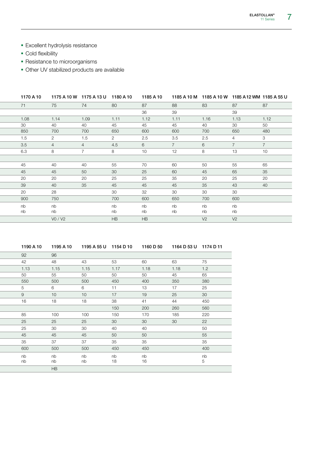- **Excellent hydrolysis resistance**
- Cold flexibility
- **Resistance to microorganisms**
- Other UV stabilized products are available

|      | 1170 A 10 | 1175 A 10 W 1175 A 13 U 1180 A 10 |                |           | 1185 A 10       |                |                | 1185 A 10 M 1185 A 10 W 1185 A 12 WM 1185 A 55 U |      |
|------|-----------|-----------------------------------|----------------|-----------|-----------------|----------------|----------------|--------------------------------------------------|------|
| 71   |           | 75                                | 74             | 80        | 87              | 88             | 83             | 87                                               | 87   |
|      |           |                                   |                |           | 36              | 39             |                | 39                                               |      |
| 1.08 |           | 1.14                              | 1.09           | 1.11      | 1.12            | 1.11           | 1.16           | 1.13                                             | 1.12 |
| 30   |           | 40                                | 40             | 45        | 45              | 45             | 40             | 30                                               | 50   |
| 850  |           | 700                               | 700            | 650       | 600             | 600            | 700            | 650                                              | 480  |
| 1.5  |           | 2                                 | 1.5            | 2         | 2.5             | 3.5            | 2.5            |                                                  |      |
| 3.5  |           | $\overline{4}$                    | $\overline{4}$ | 4.5       | 6               | $\overline{7}$ | 6              | $\overline{7}$                                   |      |
| 6.3  |           | 8                                 |                | 8         | 10 <sup>1</sup> | 12             | 8              | 13                                               | 10   |
|      |           |                                   |                |           |                 |                |                |                                                  |      |
| 45   |           | 40                                | 40             | 55        | 70              | 60             | 50             | 55                                               | 65   |
| 45   |           | 45                                | 50             | 30        | 25              | 60             | 45             | 65                                               | 35   |
| 20   |           | 20                                | 20             | 25        | 25              | 35             | 20             | 25                                               | 20   |
| 39   |           | 40                                | 35             | 45        | 45              | 45             | 35             | 43                                               | 40   |
| 20   |           | 28                                |                | 30        | 32              | 30             | 30             | 30                                               |      |
| 900  |           | 750                               |                | 700       | 600             | 650            | 700            | 600                                              |      |
| nb   |           | nb                                |                | nb        | nb              | nb             | nb             | nb                                               |      |
| nb   |           | nb                                |                | nb        | nb              | nb             | nb             | nb                                               |      |
|      |           | VO / V2                           |                | <b>HB</b> | HB              |                | V <sub>2</sub> | V <sub>2</sub>                                   |      |

| 1190 A 10 |     | 1195 A 10 | 1195 A 55 U 1154 D 10 |      | 1160 D 50 | 1164 D 53 U 1174 D 11 |     |
|-----------|-----|-----------|-----------------------|------|-----------|-----------------------|-----|
| 92        | 96  |           |                       |      |           |                       |     |
| 42        | 48  |           | 43                    | 53   | 60        | 63                    | 75  |
| 1.13      |     | 1.15      | 1.15                  | 1.17 | 1.18      | 1.18                  | 1.2 |
| 50        | 55  |           | 50                    | 50   | 50        | 45                    | 65  |
| 550       | 500 |           | 500                   | 450  | 400       | 350                   | 380 |
| 5         | 6   |           | 6                     | 11   | 13        | 17                    | 25  |
| 9         | 10  |           | 10                    | 17   | 19        | 25                    | 30  |
| 16        | 18  |           | 18                    | 38   | 41        | 44                    | 450 |
|           |     |           |                       | 150  | 200       | 260                   | 560 |
| 85        |     | 100       | 100                   | 150  | 170       | 185                   | 220 |
| 25        | 25  |           | 25                    | 30   | 30        | 30                    | 22  |
| 25        | 30  |           | 30                    | 40   | 40        |                       | 50  |
| 45        | 45  |           | 45                    | 50   | 50        |                       | 55  |
| 35        | 37  |           | 37                    | 35   | 35        |                       | 35  |
| 600       | 500 |           | 500                   | 450  | 450       |                       | 400 |
| nb        | nb  |           | nb                    | nb   | nb        |                       | nb  |
| nb        | nb  |           | nb                    | 18   | 16        |                       |     |
|           | HB  |           |                       |      |           |                       |     |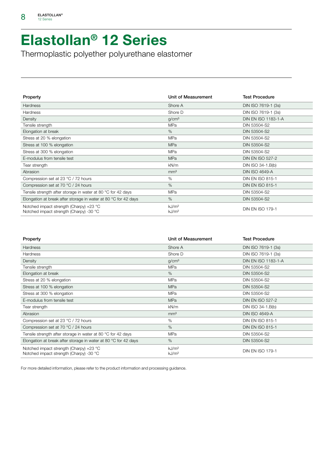#### Elastollan® 12 Series

Thermoplastic polyether polyurethane elastomer

| Property                                                                           | Unit of Measurement                    | <b>Test Procedure</b>   |
|------------------------------------------------------------------------------------|----------------------------------------|-------------------------|
| Hardness                                                                           | Shore A                                | DIN ISO 7619-1 (3s)     |
| Hardness                                                                           | Shore D                                | DIN ISO 7619-1 (3s)     |
| Density                                                                            | g/cm <sup>3</sup>                      | DIN EN ISO 1183-1-A     |
| Tensile strength                                                                   | MPa                                    | DIN 53504-S2            |
| Elongation at break                                                                | %                                      | DIN 53504-S2            |
| Stress at 20 % elongation                                                          | MPa                                    | DIN 53504-S2            |
| Stress at 100 % elongation                                                         | MPa                                    | DIN 53504-S2            |
| Stress at 300 % elongation                                                         | <b>MPa</b>                             | DIN 53504-S2            |
| E-modulus from tensile test                                                        | MPa                                    | <b>DIN EN ISO 527-2</b> |
| Tear strength                                                                      | kN/m                                   | DIN ISO 34-1.B(b)       |
| Abrasion                                                                           | mm <sup>3</sup>                        | <b>DIN ISO 4649-A</b>   |
| Compression set at 23 °C / 72 hours                                                | $\%$                                   | <b>DIN EN ISO 815-1</b> |
| Compression set at 70 °C / 24 hours                                                | %                                      | <b>DIN EN ISO 815-1</b> |
| Tensile strength after storage in water at 80 °C for 42 days                       | MPa                                    | DIN 53504-S2            |
| Elongation at break after storage in water at 80 °C for 42 days                    | %                                      | DIN 53504-S2            |
| Notched impact strength (Charpy) +23 °C<br>Notched impact strength (Charpy) -30 °C | kJ/m <sup>2</sup><br>kJ/m <sup>2</sup> | DIN EN ISO 179-1        |

| Property                                                                           | Unit of Measurement                    | <b>Test Procedure</b>   |
|------------------------------------------------------------------------------------|----------------------------------------|-------------------------|
| Hardness                                                                           | Shore A                                | DIN ISO 7619-1 (3s)     |
| Hardness                                                                           | Shore D                                | DIN ISO 7619-1 (3s)     |
| Density                                                                            | q/cm <sup>3</sup>                      | DIN EN ISO 1183-1-A     |
| Tensile strength                                                                   | MPa                                    | DIN 53504-S2            |
| Elongation at break                                                                | %                                      | DIN 53504-S2            |
| Stress at 20 % elongation                                                          | MPa                                    | DIN 53504-S2            |
| Stress at 100 % elongation                                                         | <b>MPa</b>                             | DIN 53504-S2            |
| Stress at 300 % elongation                                                         | MPa                                    | DIN 53504-S2            |
| E-modulus from tensile test                                                        | <b>MPa</b>                             | <b>DIN EN ISO 527-2</b> |
| Tear strength                                                                      | kN/m                                   | DIN ISO 34-1.B(b)       |
| Abrasion                                                                           | mm <sup>3</sup>                        | <b>DIN ISO 4649-A</b>   |
| Compression set at 23 °C / 72 hours                                                | %                                      | <b>DIN EN ISO 815-1</b> |
| Compression set at 70 °C / 24 hours                                                | $\%$                                   | <b>DIN EN ISO 815-1</b> |
| Tensile strength after storage in water at 80 °C for 42 days                       | MPa                                    | DIN 53504-S2            |
| Elongation at break after storage in water at 80 °C for 42 days                    | %                                      | DIN 53504-S2            |
| Notched impact strength (Charpy) +23 °C<br>Notched impact strength (Charpy) -30 °C | kJ/m <sup>2</sup><br>kJ/m <sup>2</sup> | <b>DIN EN ISO 179-1</b> |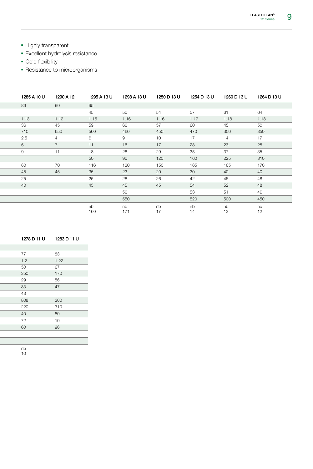- Highly transparent
- **Excellent hydrolysis resistance**
- **-** Cold flexibility
- **-** Resistance to microorganisms

|      | 1285 A 10 U | 1290 A 12      | 1295 A 13 U | 1298 A 13 U | 1250 D 13 U     | 1254 D 13 U     | 1260 D 13 U | 1264 D 13 U |
|------|-------------|----------------|-------------|-------------|-----------------|-----------------|-------------|-------------|
| 86   |             | 90             | 95          |             |                 |                 |             |             |
|      |             |                | 45          | 50          | 54              | 57              | 61          | 64          |
| 1.13 |             | 1.12           | 1.15        | 1.16        | 1.16            | 1.17            | 1.18        | 1.18        |
| 36   |             | 45             | 59          | 60          | 57              | 60              | 45          | 50          |
| 710  |             | 650            | 560         | 460         | 450             | 470             | 350         | 350         |
| 2.5  |             | $\overline{4}$ | 6           | 9           | 10 <sup>1</sup> | 17              | 14          | 17          |
| 6    |             | $\overline{7}$ | 11          | 16          | 17              | 23              | 23          | 25          |
| 9    |             | 11             | 18          | 28          | 29              | 35              | 37          | 35          |
|      |             |                | 50          | 90          | 120             | 160             | 225         | 310         |
| 60   |             | 70             | 116         | 130         | 150             | 165             | 165         | 170         |
| 45   |             | 45             | 35          | 23          | 20              | 30 <sup>°</sup> | 40          | 40          |
| 25   |             |                | 25          | 28          | 26              | 42              | 45          | 48          |
| 40   |             |                | 45          | 45          | 45              | 54              | 52          | 48          |
|      |             |                |             | 50          |                 | 53              | 51          | 46          |
|      |             |                |             | 550         |                 | 520             | 500         | 450         |
|      |             |                | nb          | nb          | nb              | nb              | nb          | nb          |
|      |             |                | 160         | 171         | 17              | 14              | 13          | 12          |

| 1278 D 11 U     | 1283 D 11 U |
|-----------------|-------------|
|                 |             |
| 77              | 83          |
| 1.2             | 1.22        |
| 50              | 67          |
| 350             | 170         |
| 29              | 56          |
| 33              | 47          |
| 43              |             |
| 808             | 200         |
| 220             | 310         |
| 40              | 80          |
| 72              | 10          |
| 60              | 96          |
|                 |             |
|                 |             |
| $\frac{nb}{10}$ |             |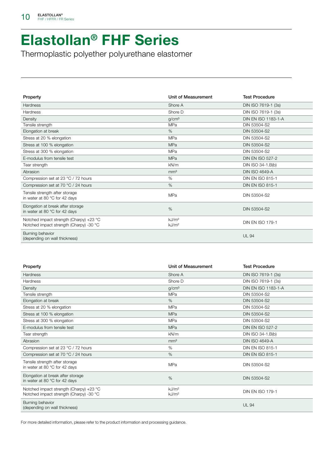### Elastollan® FHF Series

Thermoplastic polyether polyurethane elastomer

| Unit of Measurement                    | <b>Test Procedure</b>   |
|----------------------------------------|-------------------------|
| Shore A                                | DIN ISO 7619-1 (3s)     |
| Shore D                                | DIN ISO 7619-1 (3s)     |
| g/cm <sup>3</sup>                      | DIN EN ISO 1183-1-A     |
| MPa                                    | DIN 53504-S2            |
| %                                      | DIN 53504-S2            |
| MPa                                    | DIN 53504-S2            |
| MPa                                    | DIN 53504-S2            |
| MPa                                    | DIN 53504-S2            |
| <b>MPa</b>                             | <b>DIN EN ISO 527-2</b> |
| kN/m                                   | DIN ISO 34-1.B(b)       |
| mm <sup>3</sup>                        | <b>DIN ISO 4649-A</b>   |
| %                                      | DIN EN ISO 815-1        |
| %                                      | <b>DIN EN ISO 815-1</b> |
| MPa                                    | DIN 53504-S2            |
| %                                      | DIN 53504-S2            |
| kJ/m <sup>2</sup><br>kJ/m <sup>2</sup> | <b>DIN EN ISO 179-1</b> |
|                                        | <b>UL 94</b>            |
|                                        |                         |

| Property                                                                           | Unit of Measurement                    | <b>Test Procedure</b>   |
|------------------------------------------------------------------------------------|----------------------------------------|-------------------------|
| Hardness                                                                           | Shore A                                | DIN ISO 7619-1 (3s)     |
| Hardness                                                                           | Shore D                                | DIN ISO 7619-1 (3s)     |
| Density                                                                            | g/cm <sup>3</sup>                      | DIN EN ISO 1183-1-A     |
| Tensile strength                                                                   | <b>MPa</b>                             | DIN 53504-S2            |
| Elongation at break                                                                | %                                      | DIN 53504-S2            |
| Stress at 20 % elongation                                                          | MPa                                    | DIN 53504-S2            |
| Stress at 100 % elongation                                                         | <b>MPa</b>                             | DIN 53504-S2            |
| Stress at 300 % elongation                                                         | <b>MPa</b>                             | DIN 53504-S2            |
| E-modulus from tensile test                                                        | MPa                                    | <b>DIN EN ISO 527-2</b> |
| Tear strength                                                                      | kN/m                                   | DIN ISO 34-1.B(b)       |
| Abrasion                                                                           | mm <sup>3</sup>                        | <b>DIN ISO 4649-A</b>   |
| Compression set at 23 °C / 72 hours                                                | %                                      | DIN EN ISO 815-1        |
| Compression set at 70 °C / 24 hours                                                | %                                      | <b>DIN EN ISO 815-1</b> |
| Tensile strength after storage<br>in water at 80 °C for 42 days                    | MPa                                    | DIN 53504-S2            |
| Elongation at break after storage<br>in water at 80 °C for 42 days                 | %                                      | DIN 53504-S2            |
| Notched impact strength (Charpy) +23 °C<br>Notched impact strength (Charpy) -30 °C | kJ/m <sup>2</sup><br>kJ/m <sup>2</sup> | <b>DIN EN ISO 179-1</b> |
| Burning behavior<br>(depending on wall thickness)                                  |                                        | <b>UL 94</b>            |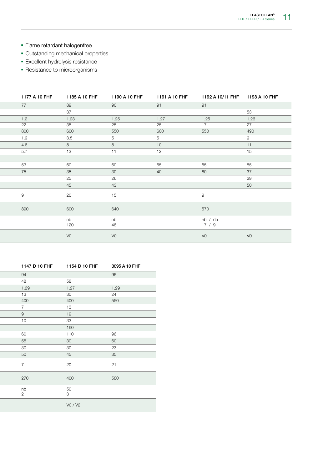- Flame retardant halogenfree
- **Outstanding mechanical properties**
- **Excellent hydrolysis resistance**
- **Resistance to microorganisms**

| 1177 A 10 FHF | 1185 A 10 FHF | 1190 A 10 FHF  | 1191 A 10 FHF | 1192 A 10/11 FHF  | 1198 A 10 FHF |
|---------------|---------------|----------------|---------------|-------------------|---------------|
| 77            | 89            | 90             | 91            | 91                |               |
|               | 37            |                |               |                   | 53            |
| 1.2           | 1.23          | 1.25           | 1.27          | 1.25              | 1.26          |
| 22            | 35            | 25             | 25            | 17                | 27            |
| 800           | 600           | 550            | 600           | 550               | 490           |
| 1.9           | 3.5           | 5 <sup>5</sup> | 5             |                   | 9             |
| 4.6           | 8             | 8              | 10            |                   | 11            |
| 5.7           | 13            | 11             | 12            |                   | 15            |
|               |               |                |               |                   |               |
| 53            | 60            | 60             | 65            | 55                | 85            |
| 75            | 35            | 30             | 40            | 80                | 37            |
|               | 25            | 26             |               |                   | 29            |
|               | 45            | 43             |               |                   | 50            |
| $9\,$         | 20            | 15             |               | 9                 |               |
| 890           | 600           | 640            |               | 570               |               |
|               | nb<br>120     | nb<br>46       |               | nb / nb<br>17 / 9 |               |
|               | VO            | V <sub>0</sub> |               | VO                | VO            |

|  | 1147 D 10 FHF   | 1154 D 10 FHF   | 3095 A 10 FHF |
|--|-----------------|-----------------|---------------|
|  | 94              |                 | 96            |
|  | 48              | 58              |               |
|  | 1.29            | 1.27            | 1.29          |
|  | 13              | 30 <sup>7</sup> | 24            |
|  | 400             | 400             | 550           |
|  | $7\overline{ }$ | 13              |               |
|  | $\hbox{9}$      | $19$            |               |
|  | 10              | 33              |               |
|  |                 | 160             |               |
|  | 60              | 110             | 96            |
|  | 55              | $30\,$          | 60            |
|  | 30              | $30\,$          | 23            |
|  | 50              | 45              | $35\,$        |
|  | $\overline{7}$  | $20\,$          | 21            |
|  | 270             | 400             | 580           |
|  | $\frac{nb}{21}$ | $\frac{50}{3}$  |               |
|  |                 | V0 / V2         |               |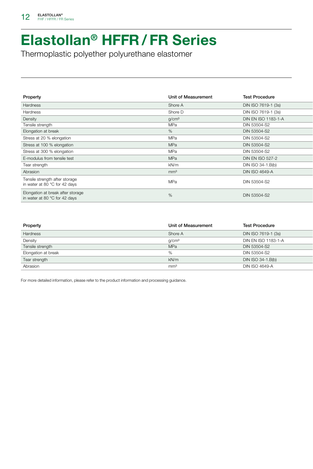# Elastollan® HFFR / FR Series

Thermoplastic polyether polyurethane elastomer

| Property                                                           | Unit of Measurement | <b>Test Procedure</b>   |
|--------------------------------------------------------------------|---------------------|-------------------------|
| Hardness                                                           | Shore A             | DIN ISO 7619-1 (3s)     |
| Hardness                                                           | Shore D             | DIN ISO 7619-1 (3s)     |
| Density                                                            | g/cm <sup>3</sup>   | DIN EN ISO 1183-1-A     |
| Tensile strength                                                   | MPa                 | DIN 53504-S2            |
| Elongation at break                                                | %                   | DIN 53504-S2            |
| Stress at 20 % elongation                                          | MPa                 | DIN 53504-S2            |
| Stress at 100 % elongation                                         | MPa                 | DIN 53504-S2            |
| Stress at 300 % elongation                                         | MPa                 | DIN 53504-S2            |
| E-modulus from tensile test                                        | MPa                 | <b>DIN EN ISO 527-2</b> |
| Tear strength                                                      | kN/m                | DIN ISO 34-1.B(b)       |
| Abrasion                                                           | mm <sup>3</sup>     | <b>DIN ISO 4649-A</b>   |
| Tensile strength after storage<br>in water at 80 °C for 42 days    | MPa                 | DIN 53504-S2            |
| Elongation at break after storage<br>in water at 80 °C for 42 days | %                   | DIN 53504-S2            |

| Property            | Unit of Measurement | <b>Test Procedure</b> |
|---------------------|---------------------|-----------------------|
| Hardness            | Shore A             | DIN ISO 7619-1 (3s)   |
| Density             | q/cm <sup>3</sup>   | DIN EN ISO 1183-1-A   |
| Tensile strength    | <b>MPa</b>          | <b>DIN 53504-S2</b>   |
| Elongation at break | $\%$                | DIN 53504-S2          |
| Tear strength       | kN/m                | DIN ISO 34-1.B(b)     |
| Abrasion            | mm <sup>3</sup>     | <b>DIN ISO 4649-A</b> |
|                     |                     |                       |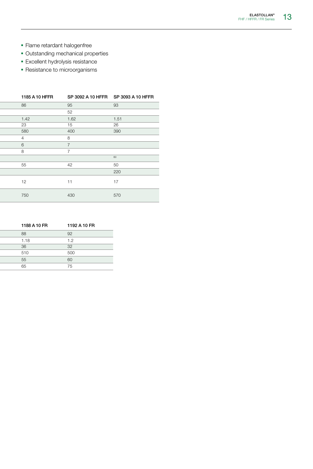- Flame retardant halogenfree
- **Outstanding mechanical properties**
- **Excellent hydrolysis resistance**
- **Resistance to microorganisms**

| 1185 A 10 HFFR<br>SP 3092 A 10 HFFR | SP 3093 A 10 HFFR |
|-------------------------------------|-------------------|
| 86<br>95                            | 93                |
| 52                                  |                   |
| 1.62<br>1.42                        | 1.51              |
| 23<br>15                            | 26                |
| 580<br>400                          | 390               |
| 8<br>$\overline{4}$                 |                   |
| 6<br>$\overline{z}$                 |                   |
| 8<br>$\rightarrow$                  |                   |
|                                     | 60                |
| 55<br>42                            | 50                |
|                                     | 220               |
| 12<br>11                            | 17                |
| 750<br>430                          | 570               |

|  | 1188 A 10 FR | 1192 A 10 FR             |
|--|--------------|--------------------------|
|  | 88           | 92                       |
|  | 1.18         | $\overline{\phantom{a}}$ |
|  | 36           | 32                       |
|  | 510          | <b>500</b>               |
|  | $- -$<br>55  | 60                       |
|  | $\sim$<br>65 | $\sqrt{ }$               |
|  |              |                          |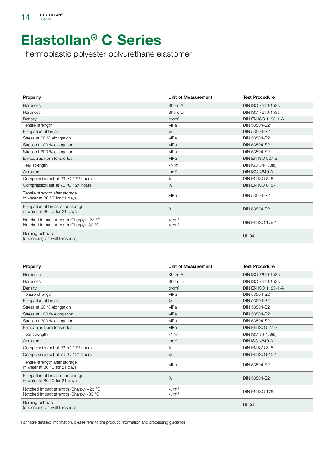#### Elastollan® C Series

Thermoplastic polyester polyurethane elastomer

| Property                                                                           | Unit of Measurement                    | <b>Test Procedure</b>   |
|------------------------------------------------------------------------------------|----------------------------------------|-------------------------|
| Hardness                                                                           | Shore A                                | DIN ISO 7619-1 (3s)     |
| Hardness                                                                           | Shore D                                | DIN ISO 7619-1 (3s)     |
| Density                                                                            | g/cm <sup>3</sup>                      | DIN EN ISO 1183-1-A     |
| Tensile strength                                                                   | MPa                                    | DIN 53504-S2            |
| Elongation at break                                                                | %                                      | DIN 53504-S2            |
| Stress at 20 % elongation                                                          | <b>MPa</b>                             | DIN 53504-S2            |
| Stress at 100 % elongation                                                         | MPa                                    | DIN 53504-S2            |
| Stress at 300 % elongation                                                         | MPa                                    | DIN 53504-S2            |
| E-modulus from tensile test                                                        | MPa                                    | <b>DIN EN ISO 527-2</b> |
| Tear strength                                                                      | kN/m                                   | DIN ISO 34-1.B(b)       |
| Abrasion                                                                           | mm <sup>3</sup>                        | <b>DIN ISO 4649-A</b>   |
| Compression set at 23 °C / 72 hours                                                | %                                      | DIN EN ISO 815-1        |
| Compression set at 70 °C / 24 hours                                                | %                                      | <b>DIN EN ISO 815-1</b> |
| Tensile strength after storage<br>in water at 80 °C for 21 days                    | MPa                                    | DIN 53504-S2            |
| Elongation at break after storage<br>in water at 80 °C for 21 days                 | %                                      | DIN 53504-S2            |
| Notched impact strength (Charpy) +23 °C<br>Notched impact strength (Charpy) -30 °C | kJ/m <sup>2</sup><br>kJ/m <sup>2</sup> | <b>DIN EN ISO 179-1</b> |
| Burning behavior<br>(depending on wall thickness)                                  |                                        | <b>UL 94</b>            |
|                                                                                    |                                        |                         |

| Property                                                                           | Unit of Measurement                    | <b>Test Procedure</b>   |
|------------------------------------------------------------------------------------|----------------------------------------|-------------------------|
| Hardness                                                                           | Shore A                                | DIN ISO 7619-1 (3s)     |
| Hardness                                                                           | Shore D                                | DIN ISO 7619-1 (3s)     |
| Density                                                                            | g/cm <sup>3</sup>                      | DIN EN ISO 1183-1-A     |
| Tensile strength                                                                   | MPa                                    | DIN 53504-S2            |
| Elongation at break                                                                | %                                      | DIN 53504-S2            |
| Stress at 20 % elongation                                                          | <b>MPa</b>                             | DIN 53504-S2            |
| Stress at 100 % elongation                                                         | <b>MPa</b>                             | DIN 53504-S2            |
| Stress at 300 % elongation                                                         | MPa                                    | DIN 53504-S2            |
| E-modulus from tensile test                                                        | MPa                                    | <b>DIN EN ISO 527-2</b> |
| Tear strength                                                                      | kN/m                                   | DIN ISO 34-1.B(b)       |
| Abrasion                                                                           | mm <sup>3</sup>                        | <b>DIN ISO 4649-A</b>   |
| Compression set at 23 °C / 72 hours                                                | $\%$                                   | <b>DIN EN ISO 815-1</b> |
| Compression set at 70 °C / 24 hours                                                | %                                      | <b>DIN EN ISO 815-1</b> |
| Tensile strength after storage<br>in water at 80 °C for 21 days                    | MPa                                    | DIN 53504-S2            |
| Elongation at break after storage<br>in water at 80 °C for 21 days                 | $\%$                                   | DIN 53504-S2            |
| Notched impact strength (Charpy) +23 °C<br>Notched impact strength (Charpy) -30 °C | kJ/m <sup>2</sup><br>kJ/m <sup>2</sup> | <b>DIN EN ISO 179-1</b> |
| Burning behavior<br>(depending on wall thickness)                                  |                                        | <b>UL 94</b>            |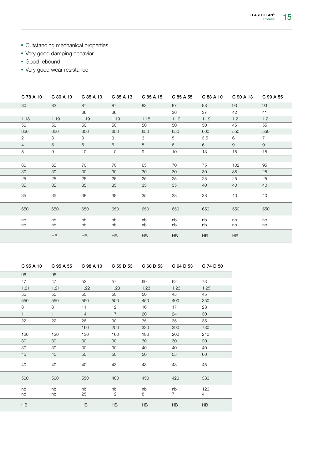- **Outstanding mechanical properties**
- Very good damping behavior
- Good rebound
- Very good wear resistance

| C 78 A 10 | C 80 A 10     | C 85 A 10       | C 85 A 13       | C 85 A 15 | C 85 A 55  | C 88 A 10 | C 90 A 13 | C 90 A 55      |
|-----------|---------------|-----------------|-----------------|-----------|------------|-----------|-----------|----------------|
| 80        | 82            | 87              | 87              | 82        | 87         | 88        | 93        | 93             |
|           |               | 36              | 36              |           | 36         | 37        | 42        | 41             |
| 1.18      | 1.19          | 1.19            | 1.19            | 1.18      | 1.19       | 1.19      | 1.2       | 1.2            |
| 50        | 50            | 50              | 50              | 50        | 50         | 50        | 45        | 55             |
| 650       | 650           | 650             | 650             | 650       | 650        | 600       | 550       | 550            |
| 2         | $\mathcal{S}$ | 3               | 3               | 3         | 5          | 3.5       | 6         | $\overline{7}$ |
|           | 5             | 6               | 6               | 5         | 6          | 6         | 9         | 9              |
| 8         | 9             | 10 <sup>1</sup> | 10 <sup>1</sup> | 9         | 10         | 13        | 15        | 15             |
|           |               |                 |                 |           |            |           |           |                |
| 60        | 65            | 70              | 70              | 65        | 70         | 75        | 102       | 95             |
| 30        | 30            | 30              | 30              | 30        | 30         | 30        | 38        | 25             |
| 25        | 25            | 25              | 25              | 25        | 25         | 25        | 25        | 25             |
| 35        | 35            | 35              | 35              | 35        | 35         | 40        | 40        | 40             |
| 35        | 35            | 38              | 38              | 35        | 38         | 38        | 40        | 40             |
| 650       | 650           | 650             | 650             | 650       | 650        | 650       | 550       | 550            |
| nb<br>nb  | nb<br>nb      | nb<br>nb        | nb<br>nb        | nb<br>nb  | nb<br>nb   | nb<br>nb  | nb<br>nb  | nb<br>nb       |
|           | <b>HB</b>     | HB              | HB              | HB        | ${\sf HB}$ | HB        | HB        |                |

| C 95 A 10            | C 95 A 55<br>C 98 A 10 | C 59 D 53 | C 60 D 53 | C 64 D 53            | C 74 D 50             |
|----------------------|------------------------|-----------|-----------|----------------------|-----------------------|
| 96<br>96             |                        |           |           |                      |                       |
| 47<br>47             | 52                     | 57        | 60        | 62                   | 73                    |
| 1.21<br>1.21         | 1.22                   | 1.23      | 1.23      | 1.23                 | 1.25                  |
| 55<br>55             | 50                     | 50        | 50        | 45                   | 45                    |
| 550<br>550           | 550                    | 500       | 450       | 400                  | 350                   |
| 8<br>8               | 11                     | 12        | 16        | 17                   | 28                    |
| 11<br>11             | 14                     | 17        | 20        | 24                   | 30                    |
| 22<br>22             | 26                     | 30        | 35        | 35                   | 35                    |
|                      | 160                    | 250       | 330       | 390                  | 730                   |
| 120<br>120           | 130                    | 160       | 180       | 200                  | 240                   |
| 30<br>30             | 30                     | 30        | 30        | 30                   | 20                    |
| 30<br>30             | 30                     | 30        | 40        | 40                   | 40                    |
| 45<br>45             | 50                     | 50        | 50        | 55                   | 60                    |
| 40<br>40             | 40                     | 43        | 43        | 43                   | 45                    |
| 500<br>500           | 550                    | 480       | 450       | 420                  | 380                   |
| nb<br>nb<br>nb<br>nb | nb<br>25               | nb<br>12  | nb<br>8   | nb<br>$\overline{7}$ | 120<br>$\overline{4}$ |
| HB                   | HB                     | HB        | HB        | HB                   | HB                    |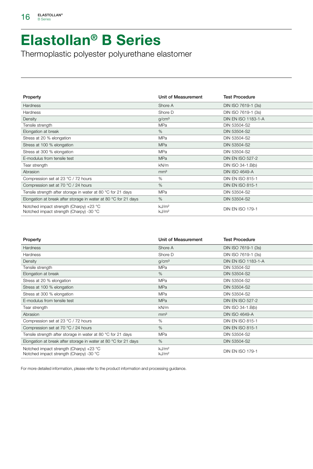#### Elastollan® B Series

Thermoplastic polyester polyurethane elastomer

| Property                                                                           | Unit of Measurement                    | <b>Test Procedure</b>   |
|------------------------------------------------------------------------------------|----------------------------------------|-------------------------|
| Hardness                                                                           | Shore A                                | DIN ISO 7619-1 (3s)     |
| Hardness                                                                           | Shore D                                | DIN ISO 7619-1 (3s)     |
| Density                                                                            | g/cm <sup>3</sup>                      | DIN EN ISO 1183-1-A     |
| Tensile strength                                                                   | MPa                                    | DIN 53504-S2            |
| Elongation at break                                                                | %                                      | DIN 53504-S2            |
| Stress at 20 % elongation                                                          | MPa                                    | DIN 53504-S2            |
| Stress at 100 % elongation                                                         | MPa                                    | DIN 53504-S2            |
| Stress at 300 % elongation                                                         | MPa                                    | DIN 53504-S2            |
| E-modulus from tensile test                                                        | MPa                                    | <b>DIN EN ISO 527-2</b> |
| Tear strength                                                                      | kN/m                                   | DIN ISO 34-1.B(b)       |
| Abrasion                                                                           | mm <sup>3</sup>                        | <b>DIN ISO 4649-A</b>   |
| Compression set at 23 °C / 72 hours                                                | %                                      | <b>DIN EN ISO 815-1</b> |
| Compression set at 70 °C / 24 hours                                                | %                                      | <b>DIN EN ISO 815-1</b> |
| Tensile strength after storage in water at 80 °C for 21 days                       | MPa                                    | DIN 53504-S2            |
| Elongation at break after storage in water at 80 °C for 21 days                    | %                                      | DIN 53504-S2            |
| Notched impact strength (Charpy) +23 °C<br>Notched impact strength (Charpy) -30 °C | kJ/m <sup>2</sup><br>kJ/m <sup>2</sup> | <b>DIN EN ISO 179-1</b> |

| Property                                                                           | Unit of Measurement                    | <b>Test Procedure</b>   |
|------------------------------------------------------------------------------------|----------------------------------------|-------------------------|
| Hardness                                                                           | Shore A                                | DIN ISO 7619-1 (3s)     |
| Hardness                                                                           | Shore D                                | DIN ISO 7619-1 (3s)     |
| Density                                                                            | q/cm <sup>3</sup>                      | DIN EN ISO 1183-1-A     |
| Tensile strength                                                                   | MPa                                    | DIN 53504-S2            |
| Elongation at break                                                                | %                                      | DIN 53504-S2            |
| Stress at 20 % elongation                                                          | MPa                                    | DIN 53504-S2            |
| Stress at 100 % elongation                                                         | <b>MPa</b>                             | DIN 53504-S2            |
| Stress at 300 % elongation                                                         | MPa                                    | DIN 53504-S2            |
| E-modulus from tensile test                                                        | <b>MPa</b>                             | <b>DIN EN ISO 527-2</b> |
| Tear strength                                                                      | kN/m                                   | DIN ISO 34-1.B(b)       |
| Abrasion                                                                           | mm <sup>3</sup>                        | <b>DIN ISO 4649-A</b>   |
| Compression set at 23 °C / 72 hours                                                | %                                      | <b>DIN EN ISO 815-1</b> |
| Compression set at 70 °C / 24 hours                                                | %                                      | <b>DIN EN ISO 815-1</b> |
| Tensile strength after storage in water at 80 °C for 21 days                       | MPa                                    | DIN 53504-S2            |
| Elongation at break after storage in water at 80 °C for 21 days                    | %                                      | DIN 53504-S2            |
| Notched impact strength (Charpy) +23 °C<br>Notched impact strength (Charpy) -30 °C | kJ/m <sup>2</sup><br>kJ/m <sup>2</sup> | <b>DIN EN ISO 179-1</b> |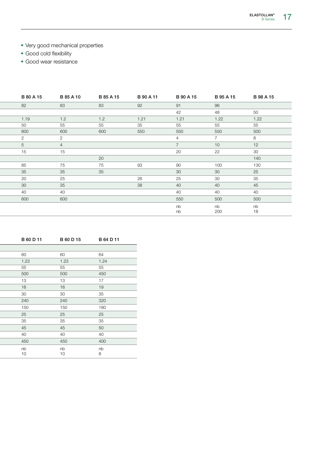- Very good mechanical properties
- Good cold flexibility
- Good wear resistance

|                | <b>B 80 A 15</b> | <b>B 85 A 10</b> | <b>B 85 A 15</b> | <b>B</b> 90 A 11 | <b>B</b> 90 A 15 | <b>B 95 A 15</b> | <b>B 98 A 15</b> |
|----------------|------------------|------------------|------------------|------------------|------------------|------------------|------------------|
|                | 82               | 83               | 83               | 92               | 91               | 96               |                  |
|                |                  |                  |                  |                  | 42               | 48               | 50               |
|                | 1.19             | 1.2              | 1.2              | 1.21             | 1.21             | 1.22             | 1.22             |
|                | 50               | 55               | 55               | 35               | 55               | 55               | 55               |
|                | 600              | 600              | 600              | 550              | 550              | 550              | 500              |
| $\overline{2}$ |                  | 2                |                  |                  |                  | $\overline{7}$   | 8                |
| 5              |                  | $\Delta$         |                  |                  |                  | 10               | 12               |
|                | 15               | 15               |                  |                  | 20               | 22               | 30               |
|                |                  |                  | 20               |                  |                  |                  | 140              |
|                | 85               | 75               | 75               | 93               | 90               | 100              | 130              |
|                | 35               | 35               | 35               |                  | 30               | 30               | 25               |
|                | 20               | 25               |                  | 26               | 25               | 30               | 35               |
|                | 30 <sup>°</sup>  | 35               |                  | 38               | 40               | 40               | 45               |
|                | 40               | 40               |                  |                  | 40               | 40               | 40               |
|                | 600              | 600              |                  |                  | 550              | 500              | 500              |
|                |                  |                  |                  |                  | nb               | nb               | nb               |
|                |                  |                  |                  |                  | nb               | 200              | 18               |
|                |                  |                  |                  |                  |                  |                  |                  |

| <b>B</b> 60 D 11 | <b>B</b> 60 D 15 | <b>B 64 D 11</b> |
|------------------|------------------|------------------|
|                  |                  |                  |
| 60               | 60               | 64               |
| 1.23             | 1.23             | 1.24             |
| 55               | 55               | 55               |
| 500              | 500              | 450              |
| 13               | 13               | 17               |
| 16               | 16               | 19               |
| $30\,$           | $30\,$           | 35               |
| 240              | 240              | 320              |
| 150              | 150              | 180              |
| 25               | 25               | 25               |
| 35               | $35\,$           | 35               |
| 45               | 45               | 50               |
| 40               | 40               | 40               |
| 450              | 450              | 400              |
| nb               | nb               | nb               |
| 10               | 10               | $\,8\,$          |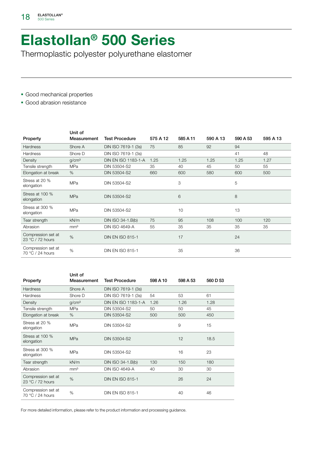## Elastollan® 500 Series

Thermoplastic polyester polyurethane elastomer

- Good mechanical properties
- Good abrasion resistance

|                                        | Unit of           |                         |          |          |          |          |          |
|----------------------------------------|-------------------|-------------------------|----------|----------|----------|----------|----------|
| Property                               | Measurement       | <b>Test Procedure</b>   | 575 A 12 | 585 A 11 | 590 A 13 | 590 A 53 | 595 A 13 |
| <b>Hardness</b>                        | Shore A           | DIN ISO 7619-1 (3s)     | 75       | 85       | 92       | 94       |          |
| <b>Hardness</b>                        | Shore D           | DIN ISO 7619-1 (3s)     |          |          |          | 41       | 48       |
| Density                                | g/cm <sup>3</sup> | DIN EN ISO 1183-1-A     | 1.25     | 1.25     | 1.25     | 1.25     | 1.27     |
| Tensile strength                       | <b>MPa</b>        | DIN 53504-S2            | 35       | 40       | 45       | 50       | 55       |
| Elongation at break                    | %                 | DIN 53504-S2            | 660      | 600      | 580      | 600      | 500      |
| Stress at 20 %<br>elongation           | <b>MPa</b>        | DIN 53504-S2            |          | 3        |          | 5        |          |
| Stress at 100 %<br>elongation          | <b>MPa</b>        | <b>DIN 53504-S2</b>     |          | 6        |          | 8        |          |
| Stress at 300 %<br>elongation          | <b>MPa</b>        | DIN 53504-S2            |          | 10       |          | 13       |          |
| Tear strength                          | kN/m              | DIN ISO 34-1.B(b)       | 75       | 95       | 108      | 100      | 120      |
| Abrasion                               | mm <sup>3</sup>   | <b>DIN ISO 4649-A</b>   | 55       | 35       | 35       | 35       | 35       |
| Compression set at<br>23 °C / 72 hours | %                 | <b>DIN EN ISO 815-1</b> |          | 17       |          | 24       |          |
| Compression set at<br>70 °C / 24 hours | %                 | <b>DIN EN ISO 815-1</b> |          | 35       |          | 36       |          |

| Property                               | Unit of<br>Measurement | <b>Test Procedure</b>   | 598 A 10 | 598 A 53 | 560 D 53 |
|----------------------------------------|------------------------|-------------------------|----------|----------|----------|
|                                        |                        |                         |          |          |          |
| <b>Hardness</b>                        | Shore A                | DIN ISO 7619-1 (3s)     |          |          |          |
| Hardness                               | Shore D                | DIN ISO 7619-1 (3s)     | 54       | 53       | 61       |
| Density                                | g/cm <sup>3</sup>      | DIN EN ISO 1183-1-A     | 1.26     | 1.26     | 1.28     |
| Tensile strength                       | <b>MPa</b>             | DIN 53504-S2            | 50       | 50       | 45       |
| Elongation at break                    | %                      | DIN 53504-S2            | 500      | 500      | 450      |
| Stress at 20 %<br>elongation           | <b>MPa</b>             | DIN 53504-S2            |          | 9        | 15       |
| Stress at 100 %<br>elongation          | <b>MPa</b>             | <b>DIN 53504-S2</b>     |          | 12       | 18.5     |
| Stress at 300 %<br>elongation          | <b>MPa</b>             | DIN 53504-S2            |          | 16       | 23       |
| Tear strength                          | kN/m                   | DIN ISO 34-1. B(b)      | 130      | 150      | 180      |
| Abrasion                               | mm <sup>3</sup>        | <b>DIN ISO 4649-A</b>   | 40       | 30       | 30       |
| Compression set at<br>23 °C / 72 hours | %                      | <b>DIN EN ISO 815-1</b> |          | 26       | 24       |
| Compression set at<br>70 °C / 24 hours | %                      | <b>DIN EN ISO 815-1</b> |          | 40       | 46       |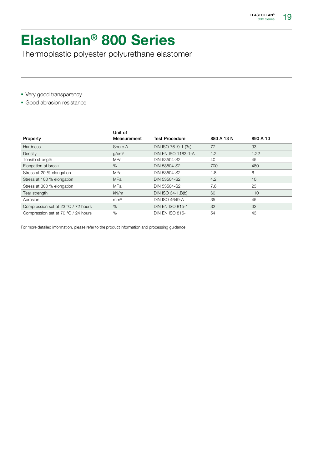### Elastollan® 800 Series

Thermoplastic polyester polyurethane elastomer

- Very good transparency
- Good abrasion resistance

|                                     | Unit of           |                            |            |          |
|-------------------------------------|-------------------|----------------------------|------------|----------|
| Property                            | Measurement       | <b>Test Procedure</b>      | 880 A 13 N | 890 A 10 |
| <b>Hardness</b>                     | Shore A           | DIN ISO 7619-1 (3s)        | 77         | 93       |
| Density                             | q/cm <sup>3</sup> | <b>DIN EN ISO 1183-1-A</b> | 1.2        | 1.22     |
| Tensile strength                    | MPa               | DIN 53504-S2               | 40         | 45       |
| Elongation at break                 | %                 | DIN 53504-S2               | 700        | 480      |
| Stress at 20 % elongation           | MPa               | DIN 53504-S2               | 1.8        | 6        |
| Stress at 100 % elongation          | <b>MPa</b>        | DIN 53504-S2               | 4.2        | 10       |
| Stress at 300 % elongation          | <b>MPa</b>        | DIN 53504-S2               | 7.6        | 23       |
| Tear strength                       | kN/m              | DIN ISO 34-1. B(b)         | 60         | 110      |
| Abrasion                            | mm <sup>3</sup>   | <b>DIN ISO 4649-A</b>      | 35         | 45       |
| Compression set at 23 °C / 72 hours | $\%$              | <b>DIN EN ISO 815-1</b>    | 32         | 32       |
| Compression set at 70 °C / 24 hours | %                 | <b>DIN EN ISO 815-1</b>    | 54         | 43       |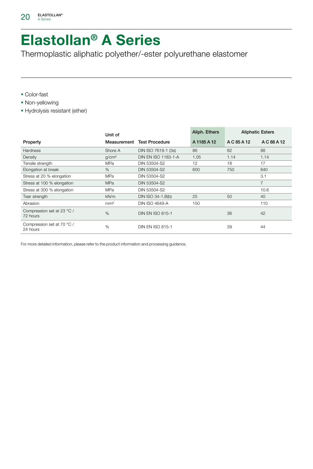#### Elastollan® A Series

Thermoplastic aliphatic polyether/-ester polyurethane elastomer

- Color-fast
- Non-yellowing
- Hydrolysis resistant (ether)

|                                        | Unit of           |                            | Aliph. Ethers | <b>Aliphatic Esters</b> |                |
|----------------------------------------|-------------------|----------------------------|---------------|-------------------------|----------------|
| Property                               |                   | Measurement Test Procedure | A 1185 A 12   | A C 85 A 12             | A C 88 A 12    |
| <b>Hardness</b>                        | Shore A           | DIN ISO 7619-1 (3s)        | 86            | 82                      | 88             |
| Density                                | q/cm <sup>3</sup> | <b>DIN EN ISO 1183-1-A</b> | 1.05          | 1.14                    | 1.14           |
| Tensile strength                       | <b>MPa</b>        | DIN 53504-S2               | 12            | 18                      | 17             |
| Elongation at break                    | %                 | <b>DIN 53504-S2</b>        | 600           | 750                     | 640            |
| Stress at 20 % elongation              | <b>MPa</b>        | DIN 53504-S2               |               |                         | 3.1            |
| Stress at 100 % elongation             | <b>MPa</b>        | <b>DIN 53504-S2</b>        |               |                         | $\overline{7}$ |
| Stress at 300 % elongation             | MPa               | DIN 53504-S2               |               |                         | 10.6           |
| Tear strength                          | kN/m              | DIN ISO 34-1.B(b)          | 25            | 50                      | 40             |
| Abrasion                               | mm <sup>3</sup>   | <b>DIN ISO 4649-A</b>      | 150           |                         | 110            |
| Compression set at 23 °C /<br>72 hours | $\%$              | <b>DIN EN ISO 815-1</b>    |               | 36                      | 42             |
| Compression set at 70 °C /<br>24 hours | %                 | <b>DIN EN ISO 815-1</b>    |               | 39                      | 44             |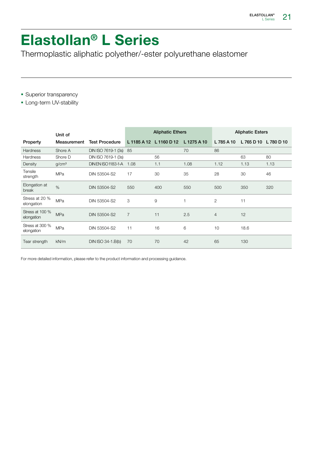## Elastollan® L Series

Thermoplastic aliphatic polyether/-ester polyurethane elastomer

- **Superior transparency**
- **-** Long-term UV-stability

|                               | Unit of           |                       |                | <b>Aliphatic Ethers</b> |             | <b>Aliphatic Esters</b> |            |           |
|-------------------------------|-------------------|-----------------------|----------------|-------------------------|-------------|-------------------------|------------|-----------|
| Property                      | Measurement       | <b>Test Procedure</b> | L 1185 A 12    | L 1160 D 12             | L 1275 A 10 | L785 A 10               | L 765 D 10 | L780 D 10 |
| Hardness                      | Shore A           | DIN ISO 7619-1 (3s)   | 85             |                         | 70          | 86                      |            |           |
| Hardness                      | Shore D           | DIN ISO 7619-1 (3s)   |                | 56                      |             |                         | 63         | 80        |
| Density                       | g/cm <sup>3</sup> | DINEN ISO 1183-1-A    | 1.08           | 1.1                     | 1.08        | 1.12                    | 1.13       | 1.13      |
| Tensile<br>strength           | <b>MPa</b>        | DIN 53504-S2          | 17             | 30                      | 35          | 28                      | 30         | 46        |
| Elongation at<br>break        | $\%$              | DIN 53504-S2          | 550            | 400                     | 550         | 500                     | 350        | 320       |
| Stress at 20 %<br>elongation  | MPa               | DIN 53504-S2          | 3              | 9                       |             | 2                       | 11         |           |
| Stress at 100 %<br>elongation | <b>MPa</b>        | DIN 53504-S2          | $\overline{7}$ | 11                      | 2.5         | $\overline{4}$          | 12         |           |
| Stress at 300 %<br>elongation | <b>MPa</b>        | DIN 53504-S2          | 11             | 16                      | 6           | 10                      | 18.6       |           |
| Tear strength                 | kN/m              | DIN ISO 34-1.B(b)     | 70             | 70                      | 42          | 65                      | 130        |           |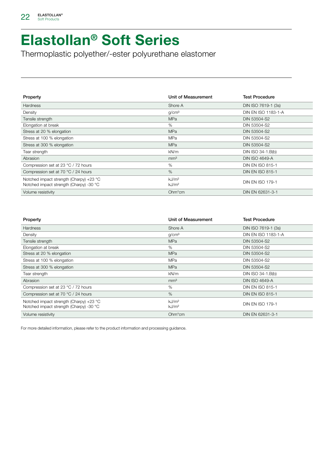#### Elastollan® Soft Series

Thermoplastic polyether/-ester polyurethane elastomer

| Property                                                                           | Unit of Measurement                    | <b>Test Procedure</b>      |
|------------------------------------------------------------------------------------|----------------------------------------|----------------------------|
| Hardness                                                                           | Shore A                                | DIN ISO 7619-1 (3s)        |
| Density                                                                            | g/cm <sup>3</sup>                      | <b>DIN EN ISO 1183-1-A</b> |
| Tensile strength                                                                   | MPa                                    | DIN 53504-S2               |
| Elongation at break                                                                | %                                      | DIN 53504-S2               |
| Stress at 20 % elongation                                                          | MPa                                    | DIN 53504-S2               |
| Stress at 100 % elongation                                                         | MPa                                    | DIN 53504-S2               |
| Stress at 300 % elongation                                                         | MPa                                    | DIN 53504-S2               |
| Tear strength                                                                      | kN/m                                   | DIN ISO 34-1.B(b)          |
| Abrasion                                                                           | mm <sup>3</sup>                        | <b>DIN ISO 4649-A</b>      |
| Compression set at 23 °C / 72 hours                                                | %                                      | <b>DIN EN ISO 815-1</b>    |
| Compression set at 70 °C / 24 hours                                                | %                                      | <b>DIN EN ISO 815-1</b>    |
| Notched impact strength (Charpy) +23 °C<br>Notched impact strength (Charpy) -30 °C | kJ/m <sup>2</sup><br>kJ/m <sup>2</sup> | <b>DIN EN ISO 179-1</b>    |
| Volume resistivity                                                                 | Ohm*cm                                 | DIN EN 62631-3-1           |

| Property                                                                           | Unit of Measurement                    | <b>Test Procedure</b>   |
|------------------------------------------------------------------------------------|----------------------------------------|-------------------------|
| Hardness                                                                           | Shore A                                | DIN ISO 7619-1 (3s)     |
| Density                                                                            | g/cm <sup>3</sup>                      | DIN EN ISO 1183-1-A     |
| Tensile strength                                                                   | MPa                                    | DIN 53504-S2            |
| Elongation at break                                                                |                                        | DIN 53504-S2            |
| Stress at 20 % elongation                                                          | MPa                                    | DIN 53504-S2            |
| Stress at 100 % elongation                                                         | MPa                                    | DIN 53504-S2            |
| Stress at 300 % elongation                                                         | MPa                                    | DIN 53504-S2            |
| Tear strength                                                                      | kN/m                                   | DIN ISO 34-1.B(b)       |
| Abrasion                                                                           | mm <sup>3</sup>                        | <b>DIN ISO 4649-A</b>   |
| Compression set at 23 °C / 72 hours                                                | O/                                     | <b>DIN EN ISO 815-1</b> |
| Compression set at 70 °C / 24 hours                                                | %                                      | <b>DIN EN ISO 815-1</b> |
| Notched impact strength (Charpy) +23 °C<br>Notched impact strength (Charpy) -30 °C | kJ/m <sup>2</sup><br>kJ/m <sup>2</sup> | <b>DIN EN ISO 179-1</b> |
| Volume resistivity                                                                 | Ohm*cm                                 | DIN EN 62631-3-1        |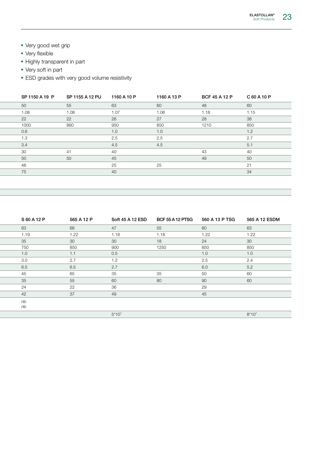- Very good wet grip
- **Very flexible**
- Highly transparent in part
- Very soft in part
- **ESD** grades with very good volume resistivity

| SP 1150 A 19 P | SP 1155 A 12 PU | 1160 A 10 P | 1160 A 13 P | <b>BCF 45 A 12 P</b> | C 60 A 10 P |
|----------------|-----------------|-------------|-------------|----------------------|-------------|
| 50             | 55              | 63          | 60          | 48                   | 60          |
| 1.08           | 1.08            | 1.07        | 1.06        | 1.18                 | 1.15        |
| 22             | 22              | 26          | 27          | 28                   | 38          |
| 1000           | 860             | 950         | 850         | 1210                 | 850         |
| 0.6            |                 | 1.0         | 1.0         |                      | 1.2         |
| 1.3            |                 | 2.5         | 2.5         |                      | 2.7         |
| 3.4            |                 | 4.5         | 4.5         |                      | 5.1         |
| 30             | 41              | 40          |             | 43                   | 40          |
| 50             | 50              | 45          |             | 49                   | 50          |
| 48             |                 | 25          | 25          |                      | 21          |
| 75             |                 | 40          |             |                      | 34          |
|                |                 |             |             |                      |             |

|         | S 60 A 12 P | 565 A 12 P | Soft 45 A 12 ESD | BCF 55 A 12 PTSG | 560 A 13 P TSG | 565 A 12 ESDM |
|---------|-------------|------------|------------------|------------------|----------------|---------------|
| 63      |             | 66         | 47               | 55               | 60             | 63            |
|         | 1.19        | 1.22       | 1.18             | 1.18             | 1.22           | 1.22          |
| 35      |             | 30         | 30               | 18               | 24             | 30            |
| 750     |             | 850        | 900              | 1250             | 850            | 850           |
| 1.0     |             | 1.1        | 0.5              |                  | 1.0            | 1.0           |
| 3.0     |             | 2.7        | 1.2              |                  | 2.5            | 2.4           |
| $6.5\,$ |             | 6.5        | 2.7              |                  | 6.0            | 5.2           |
| 45      |             | 65         | 35               | 35               | 50             | 60            |
| 35      |             | 55         | 60               | 80               | 90             | 60            |
| 24      |             | 22         | 36               |                  | 29             |               |
| 42      |             | 37         | 49               |                  | 45             |               |
| nb      |             |            |                  |                  |                |               |
| nb      |             |            |                  |                  |                |               |
|         |             |            | $5*10^7$         |                  |                | $8*107$       |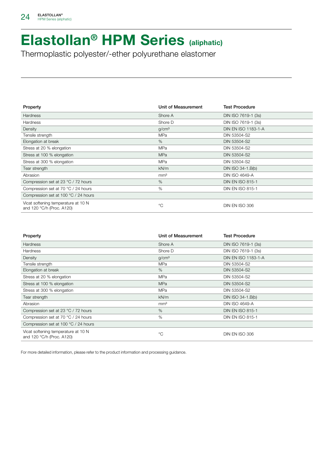# Elastollan® HPM Series (aliphatic)

Thermoplastic polyester/-ether polyurethane elastomer

| Property                                                         | Unit of Measurement | <b>Test Procedure</b>   |
|------------------------------------------------------------------|---------------------|-------------------------|
| Hardness                                                         | Shore A             | DIN ISO 7619-1 (3s)     |
| Hardness                                                         | Shore D             | DIN ISO 7619-1 (3s)     |
| Density                                                          | g/cm <sup>3</sup>   | DIN EN ISO 1183-1-A     |
| Tensile strength                                                 | MPa                 | DIN 53504-S2            |
| Elongation at break                                              | %                   | DIN 53504-S2            |
| Stress at 20 % elongation                                        | MPa                 | DIN 53504-S2            |
| Stress at 100 % elongation                                       | <b>MPa</b>          | DIN 53504-S2            |
| Stress at 300 % elongation                                       | MPa                 | DIN 53504-S2            |
| Tear strength                                                    | kN/m                | DIN ISO 34-1.B(b)       |
| Abrasion                                                         | mm <sup>3</sup>     | <b>DIN ISO 4649-A</b>   |
| Compression set at 23 °C / 72 hours                              | %                   | <b>DIN EN ISO 815-1</b> |
| Compression set at 70 °C / 24 hours                              | %                   | <b>DIN EN ISO 815-1</b> |
| Compression set at 100 °C / 24 hours                             |                     |                         |
| Vicat softening temperature at 10 N<br>and 120 °C/h (Proc. A120) | $^{\circ}$ C        | DIN EN ISO 306          |

| Property                                                                   | Unit of Measurement | <b>Test Procedure</b>   |
|----------------------------------------------------------------------------|---------------------|-------------------------|
| Hardness                                                                   | Shore A             | DIN ISO 7619-1 (3s)     |
| Hardness                                                                   | Shore D             | DIN ISO 7619-1 (3s)     |
| Density                                                                    | q/cm <sup>3</sup>   | DIN EN ISO 1183-1-A     |
| Tensile strength                                                           | <b>MPa</b>          | DIN 53504-S2            |
| Elongation at break                                                        | %                   | DIN 53504-S2            |
| Stress at 20 % elongation                                                  | MPa                 | DIN 53504-S2            |
| Stress at 100 % elongation                                                 | <b>MPa</b>          | DIN 53504-S2            |
| Stress at 300 % elongation                                                 | MPa                 | DIN 53504-S2            |
| Tear strength                                                              | kN/m                | DIN ISO 34-1.B(b)       |
| Abrasion                                                                   | mm <sup>3</sup>     | <b>DIN ISO 4649-A</b>   |
| Compression set at 23 °C / 72 hours                                        | %                   | <b>DIN EN ISO 815-1</b> |
| Compression set at 70 °C / 24 hours                                        | %                   | <b>DIN EN ISO 815-1</b> |
| Compression set at 100 °C / 24 hours                                       |                     |                         |
| Vicat softening temperature at 10 N<br>and 120 $^{\circ}$ C/h (Proc. A120) | $^{\circ}$ C        | DIN EN ISO 306          |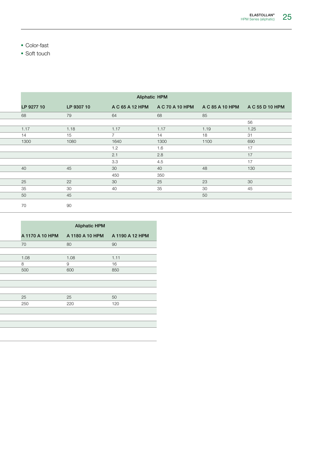- **Color-fast**
- **Soft touch**

|    |            |            | <b>Aliphatic HPM</b> |                 |                 |                 |
|----|------------|------------|----------------------|-----------------|-----------------|-----------------|
|    | LP 9277 10 | LP 9307 10 | A C 65 A 12 HPM      | A C 70 A 10 HPM | A C 85 A 10 HPM | A C 55 D 10 HPM |
| 68 |            | 79         | 64                   | 68              | 85              |                 |
|    |            |            |                      |                 |                 | 56              |
|    | 1.17       | 1.18       | 1.17                 | 1.17            | 1.19            | 1.25            |
| 14 |            | 15         | $\rightarrow$        | 14              | 18              | 31              |
|    | 1300       | 1080       | 1640                 | 1300            | 1100            | 690             |
|    |            |            | 1.2                  | 1.6             |                 | 17              |
|    |            |            | 2.1                  | 2.8             |                 | 17              |
|    |            |            | 3.3                  | 4.5             |                 | 17              |
| 40 |            | 45         | 30                   | 40              | 48              | 130             |
|    |            |            | 450                  | 350             |                 |                 |
| 25 |            | 22         | 30                   | 25              | 23              | 30              |
| 35 |            | 30         | 40                   | 35              | 30              | 45              |
| 50 |            | 45         |                      |                 | 50              |                 |
| 70 |            | 90         |                      |                 |                 |                 |

| <b>Aliphatic HPM</b>               |                 |
|------------------------------------|-----------------|
| A 1170 A 10 HPM<br>A 1180 A 10 HPM | A 1190 A 12 HPM |
| 70<br>80                           | 90              |
|                                    |                 |
| 1.08<br>1.08                       | 1.11            |
| 8<br>9                             | 16              |
| 500<br>600                         | 850             |
|                                    |                 |
|                                    |                 |
|                                    |                 |
| 25<br>25                           | 50              |
| 250<br>220                         | 120             |
|                                    |                 |
|                                    |                 |
|                                    |                 |
|                                    |                 |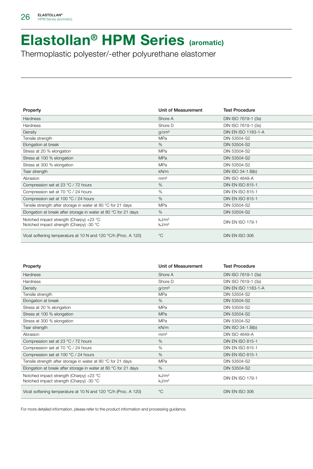# Elastollan® HPM Series (aromatic)

Thermoplastic polyester/-ether polyurethane elastomer

| Property                                                                           | Unit of Measurement                    | <b>Test Procedure</b>   |
|------------------------------------------------------------------------------------|----------------------------------------|-------------------------|
| Hardness                                                                           | Shore A                                | DIN ISO 7619-1 (3s)     |
| Hardness                                                                           | Shore D                                | DIN ISO 7619-1 (3s)     |
| Density                                                                            | g/cm <sup>3</sup>                      | DIN EN ISO 1183-1-A     |
| Tensile strength                                                                   | MPa                                    | DIN 53504-S2            |
| Elongation at break                                                                | %                                      | DIN 53504-S2            |
| Stress at 20 % elongation                                                          | MPa                                    | DIN 53504-S2            |
| Stress at 100 % elongation                                                         | MPa                                    | DIN 53504-S2            |
| Stress at 300 % elongation                                                         | MPa                                    | DIN 53504-S2            |
| Tear strength                                                                      | kN/m                                   | DIN ISO 34-1.B(b)       |
| Abrasion                                                                           | mm <sup>3</sup>                        | <b>DIN ISO 4649-A</b>   |
| Compression set at 23 °C / 72 hours                                                | %                                      | <b>DIN EN ISO 815-1</b> |
| Compression set at 70 °C / 24 hours                                                | %                                      | DIN EN ISO 815-1        |
| Compression set at 100 °C / 24 hours                                               | %                                      | <b>DIN EN ISO 815-1</b> |
| Tensile strength after storage in water at 80 °C for 21 days                       | MPa                                    | DIN 53504-S2            |
| Elongation at break after storage in water at 80 °C for 21 days                    | %                                      | DIN 53504-S2            |
| Notched impact strength (Charpy) +23 °C<br>Notched impact strength (Charpy) -30 °C | kJ/m <sup>2</sup><br>kJ/m <sup>2</sup> | <b>DIN EN ISO 179-1</b> |
| Vicat softening temperature at 10 N and 120 °C/h (Proc. A 120)                     | $^{\circ}$ C                           | DIN EN ISO 306          |

| Property                                                                           | Unit of Measurement                    | <b>Test Procedure</b>   |
|------------------------------------------------------------------------------------|----------------------------------------|-------------------------|
| Hardness                                                                           | Shore A                                | DIN ISO 7619-1 (3s)     |
| Hardness                                                                           | Shore D                                | DIN ISO 7619-1 (3s)     |
| Density                                                                            | q/cm <sup>3</sup>                      | DIN EN ISO 1183-1-A     |
| Tensile strength                                                                   | MPa                                    | DIN 53504-S2            |
| Elongation at break                                                                | %                                      | DIN 53504-S2            |
| Stress at 20 % elongation                                                          | MPa                                    | DIN 53504-S2            |
| Stress at 100 % elongation                                                         | <b>MPa</b>                             | DIN 53504-S2            |
| Stress at 300 % elongation                                                         | MPa                                    | DIN 53504-S2            |
| Tear strength                                                                      | kN/m                                   | DIN ISO 34-1.B(b)       |
| Abrasion                                                                           | mm <sup>3</sup>                        | <b>DIN ISO 4649-A</b>   |
| Compression set at 23 °C / 72 hours                                                | %                                      | <b>DIN EN ISO 815-1</b> |
| Compression set at 70 °C / 24 hours                                                | %                                      | DIN EN ISO 815-1        |
| Compression set at 100 °C / 24 hours                                               | %                                      | <b>DIN EN ISO 815-1</b> |
| Tensile strength after storage in water at 80 °C for 21 days                       | MPa                                    | DIN 53504-S2            |
| Elongation at break after storage in water at 80 °C for 21 days                    | $\%$                                   | DIN 53504-S2            |
| Notched impact strength (Charpy) +23 °C<br>Notched impact strength (Charpy) -30 °C | kJ/m <sup>2</sup><br>kJ/m <sup>2</sup> | <b>DIN EN ISO 179-1</b> |
| Vicat softening temperature at 10 N and 120 °C/h (Proc. A 120)                     | $^{\circ}C$                            | DIN EN ISO 306          |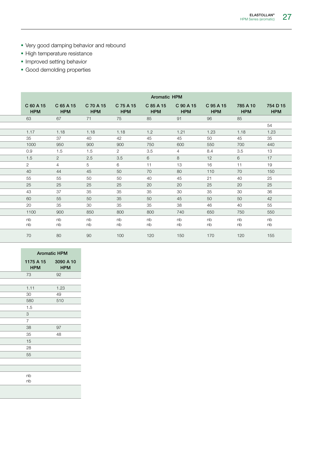- Very good damping behavior and rebound
- High temperature resistance
- **Improved setting behavior**
- Good demolding properties

| Aromatic HPM            |                         |                         |                         |                         |                         |                         |                        |                        |
|-------------------------|-------------------------|-------------------------|-------------------------|-------------------------|-------------------------|-------------------------|------------------------|------------------------|
| C 60 A 15<br><b>HPM</b> | C 65 A 15<br><b>HPM</b> | C 70 A 15<br><b>HPM</b> | C 75 A 15<br><b>HPM</b> | C 85 A 15<br><b>HPM</b> | C 90 A 15<br><b>HPM</b> | C 95 A 15<br><b>HPM</b> | 785 A 10<br><b>HPM</b> | 754 D 15<br><b>HPM</b> |
| 63                      | 67                      | 71                      | 75                      | 85                      | 91                      | 96                      | 85                     |                        |
|                         |                         |                         |                         |                         |                         |                         |                        | 54                     |
| 1.17                    | 1.18                    | 1.18                    | 1.18                    | 1.2                     | 1.21                    | 1.23                    | 1.18                   | 1.23                   |
| 35                      | 37                      | 40                      | 42                      | 45                      | 45                      | 50                      | 45                     | 35                     |
| 1000                    | 950                     | 900                     | 900                     | 750                     | 600                     | 550                     | 700                    | 440                    |
| 0.9                     | 1.5                     | 1.5                     | $\overline{2}$          | 3.5                     | $\overline{4}$          | 8.4                     | 3.5                    | 13                     |
| 1.5                     | $\overline{2}$          | 2.5                     | 3.5                     | $6\overline{6}$         | 8                       | 12                      | 6                      | 17                     |
| 2                       | $\overline{4}$          | $5\overline{)}$         | 6                       | 11                      | 13                      | 16                      | 11                     | 19                     |
| 40                      | 44                      | 45                      | 50                      | 70                      | 80                      | 110                     | 70                     | 150                    |
| 55                      | 55                      | 50                      | 50                      | 40                      | 45                      | 21                      | 40                     | 25                     |
| 25                      | 25                      | 25                      | 25                      | 20                      | 20                      | 25                      | 20                     | 25                     |
| 43                      | 37                      | 35                      | 35                      | 35                      | 30                      | 35                      | 30                     | 36                     |
| 60                      | 55                      | 50                      | 35                      | 50                      | 45                      | 50                      | 50                     | 42                     |
| 20                      | 35                      | 30                      | 35                      | 35                      | 38                      | 46                      | 40                     | 55                     |
| 1100                    | 900                     | 850                     | 800                     | 800                     | 740                     | 650                     | 750                    | 550                    |
| nb                      | nb                      | nb                      | nb                      | nb                      | nb                      | nb                      | nb                     | nb                     |
| nb                      | nb                      | nb                      | nb                      | nb                      | nb                      | nb                      | nb                     | nb                     |
| 70                      | 80                      | 90                      | 100                     | 120                     | 150                     | 170                     | 120                    | 155                    |

|                           | <b>Aromatic HPM</b> |
|---------------------------|---------------------|
| 1175 A 15<br><b>HPM</b>   | 3090 A 10<br>HPM    |
| 73                        | 92                  |
|                           |                     |
| 1.11                      | 1.23                |
| 30                        | 49                  |
| 580                       | 510                 |
| 1.5                       |                     |
| $\ensuremath{\mathsf{3}}$ |                     |
| $7\overline{ }$           |                     |
| $38\,$                    | 97                  |
| 35                        | 48                  |
| $15$                      |                     |
| 28                        |                     |
| 55                        |                     |
|                           |                     |
|                           |                     |
| nb                        |                     |
| nb                        |                     |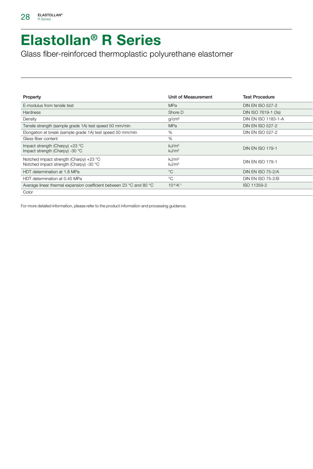#### Elastollan® R Series

Glass fiber-reinforced thermoplastic polyurethane elastomer

| Property                                                                           | Unit of Measurement                    | <b>Test Procedure</b>    |
|------------------------------------------------------------------------------------|----------------------------------------|--------------------------|
| E-modulus from tensile test                                                        | <b>MPa</b>                             | <b>DIN EN ISO 527-2</b>  |
| Hardness                                                                           | Shore D                                | DIN ISO 7619-1 (3s)      |
| Density                                                                            | g/cm <sup>3</sup>                      | DIN EN ISO 1183-1-A      |
| Tensile strength (sample grade 1A) test speed 50 mm/min                            | <b>MPa</b>                             | <b>DIN EN ISO 527-2</b>  |
| Elongation at break (sample grade 1A) test speed 50 mm/min                         |                                        | <b>DIN EN ISO 527-2</b>  |
| Glass fiber content                                                                |                                        |                          |
| Impact strength (Charpy) +23 °C<br>Impact strength (Charpy) -30 °C                 | kJ/m <sup>2</sup><br>kJ/m <sup>2</sup> | <b>DIN EN ISO 179-1</b>  |
| Notched impact strength (Charpy) +23 °C<br>Notched impact strength (Charpy) -30 °C | kJ/m <sup>2</sup><br>kJ/m <sup>2</sup> | <b>DIN EN ISO 179-1</b>  |
| HDT determination at 1.8 MPa                                                       | $^{\circ}C$                            | DIN EN ISO 75-2/A        |
| HDT determination at 0.45 MPa                                                      | $^{\circ}$ C                           | <b>DIN EN ISO 75-2/B</b> |
| Average linear thermal expansion coefficient between 23 °C and 80 °C               | $10^{-6}$ K <sup>-1</sup>              | ISO 11359-2              |
| Color                                                                              |                                        |                          |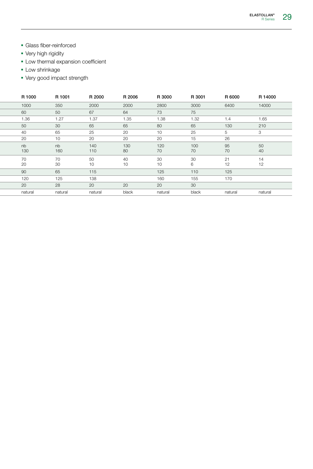- Glass fiber-reinforced
- Very high rigidity
- **-** Low thermal expansion coefficient
- **-** Low shrinkage
- Very good impact strength

| R 1000       | R 1001          | R 2000          | R 2006 | R 3000          | R 3001 | R 6000  | R 14000       |
|--------------|-----------------|-----------------|--------|-----------------|--------|---------|---------------|
| 1000         | 350             | 2000            | 2000   | 2800            | 3000   | 6400    | 14000         |
| 60           | 50              | 67              | 64     | 73              | 75     |         |               |
| 1.36         | 1.27            | 1.37            | 1.35   | 1.38            | 1.32   | 1.4     | 1.65          |
| 50           | 30              | 65              | 65     | 80              | 65     | 130     | 210           |
| 40           | 65              | 25              | 20     | 10 <sup>1</sup> | 25     | 5       | $\mathcal{S}$ |
| 20           | 10 <sup>1</sup> | 20              | 20     | 20              | 15     | 26      |               |
| $n b$<br>130 | nb              | 140             | 130    | 120             | 100    | 95      | 50            |
|              | 160             | 110             | 80     | 70              | 70     | 70      | 40            |
| 70<br>20     | 70              | 50              | 40     | 30              | 30     | 21      | 14            |
|              | 30              | 10 <sup>1</sup> | 10     | 10              | 6      | 12      | 12            |
| 90           | 65              | 115             |        | 125             | 110    | 125     |               |
| 120          | 125             | 138             |        | 160             | 155    | 170     |               |
| 20           | 28              | 20              | 20     | 20              | 30     |         |               |
| natural      | natural         | natural         | black  | natural         | black  | natural | natural       |
|              |                 |                 |        |                 |        |         |               |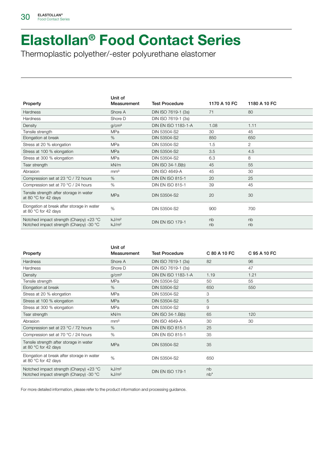# Elastollan® Food Contact Series

Thermoplastic polyether/-ester polyurethane elastomer

|                                                                                    | Unit of                                |                         |              |                |
|------------------------------------------------------------------------------------|----------------------------------------|-------------------------|--------------|----------------|
| Property                                                                           | Measurement                            | <b>Test Procedure</b>   | 1170 A 10 FC | 1180 A 10 FC   |
| Hardness                                                                           | Shore A                                | DIN ISO 7619-1 (3s)     | 71           | 80             |
| Hardness                                                                           | Shore D                                | DIN ISO 7619-1 (3s)     |              |                |
| Density                                                                            | g/cm <sup>3</sup>                      | DIN EN ISO 1183-1-A     | 1.08         | 1.11           |
| Tensile strength                                                                   | <b>MPa</b>                             | DIN 53504-S2            | 30           | 45             |
| Elongation at break                                                                | %                                      | DIN 53504-S2            | 850          | 650            |
| Stress at 20 % elongation                                                          | <b>MPa</b>                             | DIN 53504-S2            | 1.5          | $\overline{2}$ |
| Stress at 100 % elongation                                                         | <b>MPa</b>                             | DIN 53504-S2            | 3.5          | 4.5            |
| Stress at 300 % elongation                                                         | <b>MPa</b>                             | DIN 53504-S2            | 6.3          | 8              |
| Tear strength                                                                      | kN/m                                   | DIN ISO 34-1.B(b)       | 45           | 55             |
| Abrasion                                                                           | mm <sup>3</sup>                        | <b>DIN ISO 4649-A</b>   | 45           | 30             |
| Compression set at 23 °C / 72 hours                                                | %                                      | <b>DIN EN ISO 815-1</b> | 20           | 25             |
| Compression set at 70 °C / 24 hours                                                | $\%$                                   | DIN EN ISO 815-1        | 39           | 45             |
| Tensile strength after storage in water<br>at 80 °C for 42 days                    | MPa                                    | DIN 53504-S2            | 20           | 30             |
| Elongation at break after storage in water<br>at 80 °C for 42 days                 | %                                      | DIN 53504-S2            | 900          | 700            |
| Notched impact strength (Charpy) +23 °C<br>Notched impact strength (Charpy) -30 °C | kJ/m <sup>2</sup><br>kJ/m <sup>2</sup> | <b>DIN EN ISO 179-1</b> | nb<br>nb     | nb<br>nb       |

| Property                                                                           | Unit of<br>Measurement                 | <b>Test Procedure</b>   | C 80 A 10 FC | C 95 A 10 FC |
|------------------------------------------------------------------------------------|----------------------------------------|-------------------------|--------------|--------------|
| Hardness                                                                           | Shore A                                | DIN ISO 7619-1 (3s)     | 82           | 96           |
| Hardness                                                                           | Shore D                                | DIN ISO 7619-1 (3s)     |              | 47           |
| Density                                                                            | g/cm <sup>3</sup>                      | DIN EN ISO 1183-1-A     | 1.19         | 1.21         |
| Tensile strength                                                                   | MPa                                    | DIN 53504-S2            | 50           | 55           |
| Elongation at break                                                                | %                                      | DIN 53504-S2            | 650          | 550          |
| Stress at 20 % elongation                                                          | MPa                                    | DIN 53504-S2            | 3            |              |
| Stress at 100 % elongation                                                         | <b>MPa</b>                             | DIN 53504-S2            | 5            |              |
| Stress at 300 % elongation                                                         | MPa                                    | DIN 53504-S2            | 9            |              |
| Tear strength                                                                      | kN/m                                   | DIN ISO 34-1.B(b)       | 65           | 120          |
| Abrasion                                                                           | mm <sup>3</sup>                        | <b>DIN ISO 4649-A</b>   | 30           | 30           |
| Compression set at 23 °C / 72 hours                                                | %                                      | <b>DIN EN ISO 815-1</b> | 25           |              |
| Compression set at 70 °C / 24 hours                                                | %                                      | DIN EN ISO 815-1        | 35           |              |
| Tensile strength after storage in water<br>at 80 $\degree$ C for 42 days           | <b>MPa</b>                             | DIN 53504-S2            | 35           |              |
| Elongation at break after storage in water<br>at 80 $\degree$ C for 42 days        | %                                      | DIN 53504-S2            | 650          |              |
| Notched impact strength (Charpy) +23 °C<br>Notched impact strength (Charpy) -30 °C | kJ/m <sup>2</sup><br>kJ/m <sup>2</sup> | <b>DIN EN ISO 179-1</b> | nb<br>nb"    |              |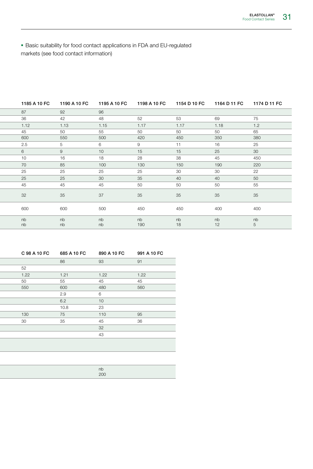Basic suitability for food contact applications in FDA and EU-regulated markets (see food contact information)

| 1185 A 10 FC | 1190 A 10 FC | 1195 A 10 FC    | 1198 A 10 FC | 1154 D 10 FC | 1164 D 11 FC | 1174 D 11 FC    |
|--------------|--------------|-----------------|--------------|--------------|--------------|-----------------|
| 87           | 92           | 96              |              |              |              |                 |
| 36           | 42           | 48              | 52           | 53           | 69           | 75              |
| 1.12         | 1.13         | 1.15            | 1.17         | 1.17         | 1.18         | 1.2             |
| 45           | 50           | 55              | 50           | 50           | 50           | 65              |
| 600          | 550          | 500             | 420          | 450          | 350          | 380             |
| 2.5          |              | 6               | 9            | 11           | 16           | 25              |
| 6            | 9            | 10 <sup>°</sup> | 15           | 15           | 25           | 30 <sup>°</sup> |
| 10           | 16           | 18              | 28           | 38           | 45           | 450             |
| 70           | 85           | 100             | 130          | 150          | 190          | 220             |
| 25           | 25           | 25              | 25           | 30           | 30           | 22              |
| 25           | 25           | 30              | 35           | 40           | 40           | 50              |
| 45           | 45           | 45              | 50           | 50           | 50           | 55              |
| 32           | 35           | 37              | 35           | 35           | 35           | 35              |
| 600          | 600          | 500             | 450          | 450          | 400          | 400             |
| nb           | nb           | nb              | nb           | nb           | nb           | nb              |
| nb           | nb           | nb              | 190          | 18           | 12           | 5               |

| C 98 A 10 FC | 685 A 10 FC | 890 A 10 FC | 991 A 10 FC |
|--------------|-------------|-------------|-------------|
|              | 86          | 93          | 91          |
| 52           |             |             |             |
| 1.22         | 1.21        | 1.22        | 1.22        |
| 50           | 55          | 45          | 45          |
| 550          | 600         | 480         | 560         |
|              | 2.9         | 6           |             |
|              | $6.2\,$     | 10          |             |
|              | 10.8        | 23          |             |
| 130          | 75          | 110         | 95          |
| 30           | 35          | 45          | 36          |
|              |             | 32          |             |
|              |             | 43          |             |
|              |             |             |             |
|              |             |             |             |

|--|--|--|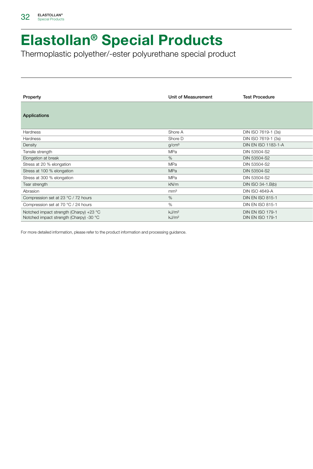

# Elastollan® Special Products

Thermoplastic polyether/-ester polyurethane special product

| Property                                | Unit of Measurement | <b>Test Procedure</b>   |
|-----------------------------------------|---------------------|-------------------------|
|                                         |                     |                         |
| Applications                            |                     |                         |
|                                         |                     |                         |
|                                         |                     |                         |
| Hardness                                | Shore A             | DIN ISO 7619-1 (3s)     |
| Hardness                                | Shore D             | DIN ISO 7619-1 (3s)     |
| Density                                 | g/cm <sup>3</sup>   | DIN EN ISO 1183-1-A     |
| Tensile strength                        | MPa                 | DIN 53504-S2            |
| Elongation at break                     | %                   | DIN 53504-S2            |
| Stress at 20 % elongation               | MPa                 | DIN 53504-S2            |
| Stress at 100 % elongation              | MPa                 | DIN 53504-S2            |
| Stress at 300 % elongation              | MPa                 | DIN 53504-S2            |
| Tear strength                           | kN/m                | DIN ISO 34-1.B(b)       |
| Abrasion                                | mm <sup>3</sup>     | <b>DIN ISO 4649-A</b>   |
| Compression set at 23 °C / 72 hours     | %                   | <b>DIN EN ISO 815-1</b> |
| Compression set at 70 °C / 24 hours     | %                   | DIN EN ISO 815-1        |
| Notched impact strength (Charpy) +23 °C | kJ/m <sup>2</sup>   | <b>DIN EN ISO 179-1</b> |
| Notched impact strength (Charpy) -30 °C | kJ/m <sup>2</sup>   | <b>DIN EN ISO 179-1</b> |
|                                         |                     |                         |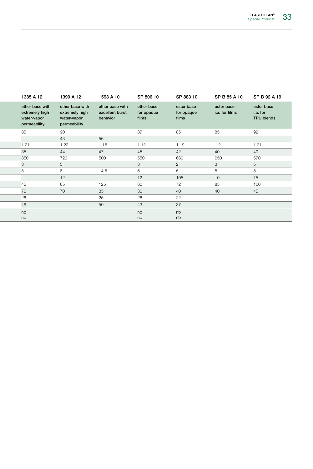| 1385 A 12                                                        | 1390 A 12                                                        | 1598 A 10                                      | SP 806 10                         | SP 883 10                         | SP B 85 A 10                 | SP B 92 A 19                                |
|------------------------------------------------------------------|------------------------------------------------------------------|------------------------------------------------|-----------------------------------|-----------------------------------|------------------------------|---------------------------------------------|
| ether base with<br>extremely high<br>water-vapor<br>permeability | ether base with<br>extremely high<br>water-vapor<br>permeability | ether base with<br>excellent burst<br>behavior | ether base<br>for opaque<br>films | ester base<br>for opaque<br>films | ester base<br>i.a. for films | ester base<br>i.a. for<br><b>TPU blends</b> |
| 85                                                               | 90                                                               |                                                | 87                                | 85                                | 85                           | 92                                          |
|                                                                  | 43                                                               | 56                                             |                                   |                                   |                              |                                             |
| 1.21                                                             | 1.22                                                             | 1.15                                           | 1.12                              | 1.19                              | 1.2                          | 1.21                                        |
| 35                                                               | 44                                                               | 47                                             | 45                                | 42                                | 40                           | 40                                          |
| 850                                                              | 720                                                              | 500                                            | 550                               | 630                               | 650                          | 570                                         |
| 3                                                                | $5\overline{)}$                                                  |                                                | 3                                 | $\overline{2}$                    | 3                            | $5\phantom{.0}$                             |
|                                                                  | 8                                                                | 14.5                                           | 6                                 | 5                                 | 5                            | 8                                           |
|                                                                  | 12                                                               |                                                | 12                                | 105                               | 10 <sup>1</sup>              | 15                                          |
| 45                                                               | 65                                                               | 125                                            | 60                                | 72                                | 85                           | 100                                         |
| 70                                                               | 70                                                               | 35                                             | 30                                | 40                                | 40                           | 45                                          |
| 26                                                               |                                                                  | 25                                             | 26                                | 22                                |                              |                                             |
| 46                                                               |                                                                  | 50                                             | 43                                | 37                                |                              |                                             |
| nb                                                               |                                                                  |                                                | nb                                | nb                                |                              |                                             |
| nb                                                               |                                                                  |                                                | nb                                | nb                                |                              |                                             |
|                                                                  |                                                                  |                                                |                                   |                                   |                              |                                             |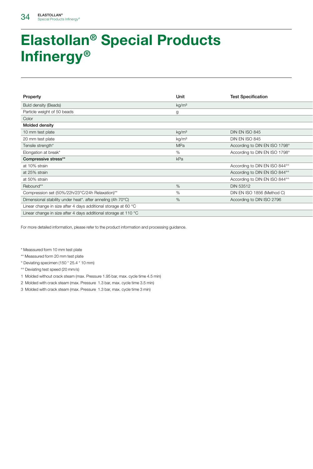# Elastollan® Special Products Infinergy®

| Property                                                                 | Unit              | <b>Test Specification</b>     |
|--------------------------------------------------------------------------|-------------------|-------------------------------|
| Buld density (Beads)                                                     | kg/m <sup>3</sup> |                               |
| Particle weight of 50 beads                                              | g                 |                               |
| Color                                                                    |                   |                               |
| Molded density                                                           |                   |                               |
| 10 mm test plate                                                         | kg/m <sup>3</sup> | DIN EN ISO 845                |
| 20 mm test plate                                                         | kg/m <sup>3</sup> | DIN EN ISO 845                |
| Tensile strength*                                                        | <b>MPa</b>        | According to DIN EN ISO 1798° |
| Elongation at break*                                                     | %                 | According to DIN EN ISO 1798° |
| Compressive stress**                                                     | kPa               |                               |
| at 10% strain                                                            |                   | According to DIN EN ISO 844°° |
| at 25% strain                                                            |                   | According to DIN EN ISO 844°° |
| at 50% strain                                                            |                   | According to DIN EN ISO 844°° |
| Rebound**                                                                | %                 | <b>DIN 53512</b>              |
| Compression set (50%/22h/23°C/24h Relaxation)**                          | %                 | DIN EN ISO 1856 (Method C)    |
| Dimensional stability under heat*. after anneling (4h 70°C)              | %                 | According to DIN ISO 2796     |
| Linear change in size after 4 days additional storage at 60 $^{\circ}$ C |                   |                               |
| Linear change in size after 4 days additional storage at 110 °C          |                   |                               |

For more detailed information, please refer to the product information and processing guidance.

\* Meassured form 10 mm test plate

- \*\* Meassured form 20 mm test plate
- ° Deviating specimen (150 \* 25.4 \* 10 mm)
- °° Deviating test speed (20 mm/s)
- 1 Molded without crack steam (max. Pressure 1.95 bar, max. cycle time 4.5 min)
- 2 Molded with crack steam (max. Pressure 1.3 bar, max. cycle time 3.5 min)
- 3 Molded with crack steam (max. Pressure 1.3 bar, max. cycle time 3 min)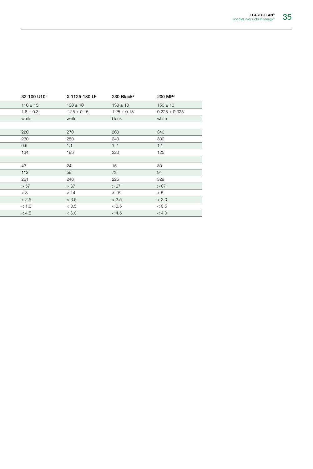| 32-100 U101   | X 1125-130 U <sup>2</sup> | 230 Black $2$   | 200 MP <sup>3</sup> |
|---------------|---------------------------|-----------------|---------------------|
| $110 \pm 15$  | $130 \pm 10$              | $130 \pm 10$    | $150 \pm 10$        |
| $1.6 \pm 0.3$ | $1.25 \pm 0.15$           | $1.25 \pm 0.15$ | $0.225 \pm 0.025$   |
| white         | white                     | black           | white               |
|               |                           |                 |                     |
| 220           | 270                       | 260             | 340                 |
| 230           | 250                       | 240             | 300                 |
| 0.9           | 1.1                       | 1.2             | 1.1                 |
| 134           | 195                       | 220             | 125                 |
|               |                           |                 |                     |
| 43            | 24                        | 15              | 30                  |
| 112           | 59                        | 73              | 94                  |
| 261           | 246                       | 225             | 329                 |
| > 57          | > 67                      | >67             | $>67$               |
| < 8           | < 14                      | < 16            | < 5                 |
| < 2.5         | < 3.5                     | < 2.5           | $< 2.0$             |
| < 1.0         | < 0.5                     | < 0.5           | < 0.5               |
| < 4.5         | < 6.0                     | < 4.5           | < 4.0               |
|               |                           |                 |                     |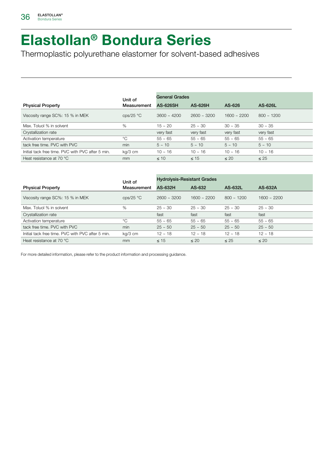#### Elastollan® Bondura Series

Thermoplastic polyurethane elastomer for solvent-based adhesives

|                                                   | Unit of                           | <b>General Grades</b> |               |               |                 |
|---------------------------------------------------|-----------------------------------|-----------------------|---------------|---------------|-----------------|
| <b>Physical Property</b>                          | Measurement                       | <b>AS-626SH</b>       | AS-626H       | AS-626        | AS-626L         |
| Viscosity range SC%: 15 % in MEK                  | $\text{cps}/\text{25} \text{ °C}$ | $3600 - 4200$         | $2600 - 3200$ | $1600 - 2200$ | $800 \sim 1200$ |
| Max. Toluol % in solvent                          | %                                 | $15 - 20$             | $25 - 30$     | $30 - 35$     | $30 - 35$       |
| Crystallization rate                              |                                   | very fast             | very fast     | very fast     | very fast       |
| Activation temperature                            | °C                                | $55 - 65$             | $55 - 65$     | $55 - 65$     | $55 - 65$       |
| tack free time. PVC with PVC                      | min                               | $5 - 10$              | $5 - 10$      | $5 - 10$      | $5 - 10$        |
| Initial tack free time. PVC with PVC after 5 min. | kg/3 cm                           | $10 - 16$             | $10 - 16$     | $10 - 16$     | $10 - 16$       |
| Heat resistance at 70 °C                          | mm                                | $\leq 10$             | $\leq 15$     | $\leq 20$     | $\leq 25$       |

|                                                   | Unit of                           | <b>Hydrolysis-Resistant Grades</b> |               |              |               |
|---------------------------------------------------|-----------------------------------|------------------------------------|---------------|--------------|---------------|
| <b>Physical Property</b>                          | Measurement                       | AS-632H                            | AS-632        | AS-632L      | AS-632A       |
| Viscosity range SC%: 15 % in MEK                  | $\text{cps}/\text{25} \text{ °C}$ | $2600 - 3200$                      | $1600 - 2200$ | $800 - 1200$ | $1600 - 2200$ |
| Max. Toluol % in solvent                          |                                   | $25 - 30$                          | $25 - 30$     | $25 - 30$    | $25 - 30$     |
| Crystallization rate                              |                                   | fast                               | fast          | fast         | fast          |
| Activation temperature                            |                                   | $55 - 65$                          | $55 - 65$     | $55 - 65$    | $55 - 65$     |
| tack free time. PVC with PVC                      | min                               | $25 - 50$                          | $25 - 50$     | $25 - 50$    | $25 - 50$     |
| Initial tack free time. PVC with PVC after 5 min. | kg/3 cm                           | $12 - 18$                          | $12 - 18$     | $12 - 18$    | $12 - 18$     |
| Heat resistance at 70 °C                          | mm                                | $\leq 15$                          | $\leq 20$     | $\leq 25$    | $\leq 20$     |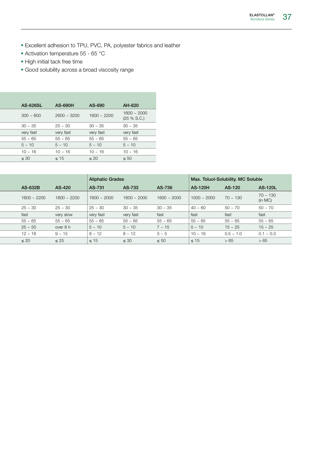- Excellent adhesion to TPU, PVC, PA, polyester fabrics and leather
- Activation temperature 55 65 °C
- High initial tack free time
- Good solubility across a broad viscosity range

| AS-626SL<br><b>AS-690H</b><br>AS-690<br>AH-620                                |  |
|-------------------------------------------------------------------------------|--|
| $1600 - 2000$<br>$1600 - 2200$<br>$300 - 600$<br>$2600 - 3200$<br>(25 % S.C.) |  |
| $30 - 35$<br>$30 - 35$<br>$25 - 30$<br>$30 - 35$                              |  |
| very fast<br>very fast<br>very fast<br>very fast                              |  |
| $55 - 65$<br>$55 - 65$<br>$55 - 65$<br>$55 - 65$                              |  |
| $5 - 10$<br>$5 - 10$<br>$5 - 10$<br>$5 - 10$                                  |  |
| $10 - 16$<br>$10 - 16$<br>$10 - 16$<br>$10 - 16$                              |  |
| $\leq 30$<br>$\leq 50$<br>$\leq 15$<br>$\leq 20$                              |  |
|                                                                               |  |

|               |               | Aliphatic Grades |               |               |                | Max. Toluol-Solubility. MC Soluble |                       |
|---------------|---------------|------------------|---------------|---------------|----------------|------------------------------------|-----------------------|
| AS-632B       | AS-420        | AS-731           | AS-733        | AS-736        | <b>AS-120H</b> | AS-120                             | <b>AS-120L</b>        |
| $1600 - 2200$ | $1600 - 2200$ | $1600 - 2000$    | $1600 - 2000$ | $1600 - 2000$ | $1000 - 2000$  | $70 - 130$                         | $70 - 130$<br>(in MC) |
| $25 - 30$     | $25 - 30$     | $25 - 30$        | $30 - 35$     | $30 - 35$     | $40 - 60$      | $50 - 70$                          | $50 - 70$             |
| fast          | very slow     | very fast        | very fast     | fast          | fast           | fast                               | fast                  |
| $55 - 65$     | $55 - 65$     | $55 - 65$        | $55 \sim 65$  | $55 - 65$     | $55 - 65$      | $55 - 65$                          | $55 - 65$             |
| $25 - 50$     | over 8 h      | $5 - 10$         | $5 - 10$      | $7 - 15$      | $5 \sim 10$    | $15 - 25$                          | $15 - 25$             |
| $12 - 18$     | $9 - 15$      | $8 - 12$         | $8 - 12$      | $3 - 5$       | $10 - 16$      | $0.5 - 1.0$                        | $0.1 - 0.3$           |
| $\leq 20$     | $\leq 25$     | $\leq 15$        | $\leq 30$     | $\leq 50$     | $\leq 15$      | >65                                | >65                   |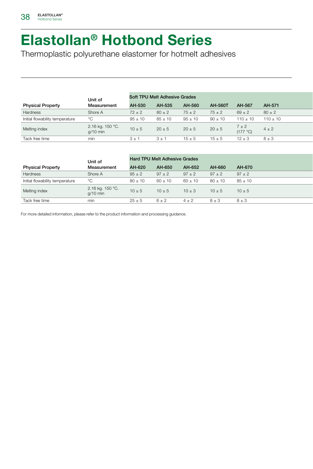

## Elastollan® Hotbond Series

Thermoplastic polyurethane elastomer for hotmelt adhesives

|                                 | Unit of                        |             | Soft TPU Melt Adhesive Grades |             |                |                   |              |  |
|---------------------------------|--------------------------------|-------------|-------------------------------|-------------|----------------|-------------------|--------------|--|
| <b>Physical Property</b>        | Measurement                    | AH-530      | AH-535                        | AH-560      | <b>AH-560T</b> | AH-567            | AH-571       |  |
| Hardness                        | Shore A                        | $72 \pm 2$  | $80 \pm 2$                    | $75 \pm 2$  | $75 \pm 2$     | $69 \pm 2$        | $80 \pm 2$   |  |
| Initial flowability temperature | $^{\circ}C$                    | $95 \pm 10$ | $85 \pm 10$                   | $95 \pm 10$ | $90 + 10$      | $110 \pm 10$      | $110 \pm 10$ |  |
| Melting index                   | 2.16 kg. 150 °C.<br>$q/10$ min | $10 \pm 5$  | $20 \pm 5$                    | $20 \pm 5$  | $20 \pm 5$     | 7 ± 2<br>(177 °C) | $4 \pm 2$    |  |
| Tack free time                  | min                            | 3 ± 1       | $3t + 1$                      | 15 ± 5      | $15 \pm 5$     | $12 \pm 3$        | $8 \pm 3$    |  |

|                                 | Unit of                        | <b>Hard TPU Melt Adhesive Grades</b> |             |             |             |             |  |
|---------------------------------|--------------------------------|--------------------------------------|-------------|-------------|-------------|-------------|--|
| <b>Physical Property</b>        | Measurement                    | AH-620                               | AH-650      | AH-652      | AH-660      | AH-670      |  |
| Hardness                        | Shore A                        | $95 \pm 2$                           | $97 \pm 2$  | $97 \pm 2$  | $97 \pm 2$  | $97 \pm 2$  |  |
| Initial flowability temperature | $^{\circ}$ C                   | $80 \pm 10$                          | $60 \pm 10$ | $60 \pm 10$ | $80 \pm 10$ | $85 \pm 10$ |  |
| Melting index                   | 2.16 kg. 150 °C.<br>$q/10$ min | $10 \pm 5$                           | $10 \pm 5$  | $10 \pm 3$  | $10 \pm 5$  | $10 \pm 5$  |  |
| Tack free time                  | min                            | $25 \pm 5$                           | $6 \pm 2$   | $4 \pm 2$   | $8 \pm 3$   | $8 \pm 3$   |  |
|                                 |                                |                                      |             |             |             |             |  |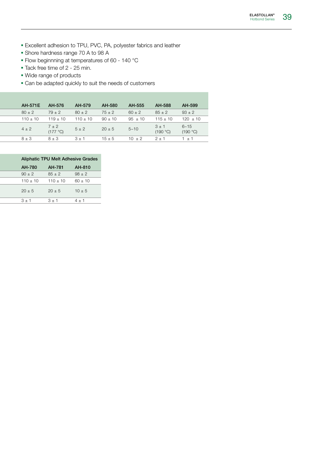- Excellent adhesion to TPU, PVC, PA, polyester fabrics and leather
- Shore hardness range 70 A to 98 A
- **Flow beginnning at temperatures of 60 140 °C**
- Tack free time of 2 25 min.
- Wide range of products
- Can be adapted quickly to suit the needs of customers

|           | AH-571E      | AH-576                | AH-579       | AH-580      | AH-555      | AH-588            | AH-599               |
|-----------|--------------|-----------------------|--------------|-------------|-------------|-------------------|----------------------|
|           | $80 \pm 2$   | $79 \pm 2$            | $80 \pm 2$   | $75 \pm 2$  | $60 \pm 2$  | $85 \pm 2$        | $93 \pm 2$           |
|           | $110 \pm 10$ | $119 \pm 10$          | $110 \pm 10$ | $90 \pm 10$ | $95 \pm 10$ | $115 \pm 10$      | $120 \pm 10$         |
|           | $4 \pm 2$    | $7 \pm 2$<br>(177 °C) | $5\pm2$      | $20 \pm 5$  | $5 - 10$    | 3 ± 1<br>(190 °C) | $6 - 15$<br>(190 °C) |
| $8 \pm 3$ |              | 8 ± 3                 | $3 + 7$      | 15 + 5      | $10 \pm 2$  | $2+$              | $+$                  |
|           |              |                       |              |             |             |                   |                      |

|               | Aliphatic TPU Melt Adhesive Grades |             |  |  |  |  |
|---------------|------------------------------------|-------------|--|--|--|--|
| <b>AH-780</b> | AH-781                             | AH-810      |  |  |  |  |
| $90 \pm 2$    | $85 \pm 2$                         | $98 \pm 2$  |  |  |  |  |
| $110 \pm 10$  | $110 \pm 10$                       | $60 \pm 10$ |  |  |  |  |
| $20 \pm 5$    | $20 \pm 5$                         | $10 \pm 5$  |  |  |  |  |
| $3 \pm 7$     | $3 +$                              | $4 \pm$     |  |  |  |  |